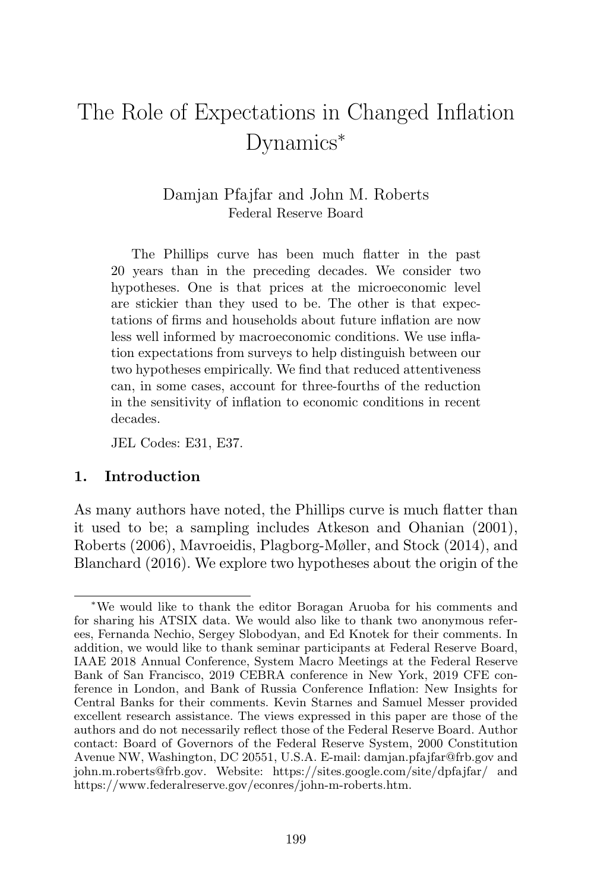# The Role of Expectations in Changed Inflation Dynamics<sup>∗</sup>

# Damjan Pfajfar and John M. Roberts Federal Reserve Board

The Phillips curve has been much flatter in the past 20 years than in the preceding decades. We consider two hypotheses. One is that prices at the microeconomic level are stickier than they used to be. The other is that expectations of firms and households about future inflation are now less well informed by macroeconomic conditions. We use inflation expectations from surveys to help distinguish between our two hypotheses empirically. We find that reduced attentiveness can, in some cases, account for three-fourths of the reduction in the sensitivity of inflation to economic conditions in recent decades.

JEL Codes: E31, E37.

### **1. Introduction**

As many authors have noted, the Phillips curve is much flatter than it used to be; a sampling includes Atkeson and Ohanian (2001), Roberts (2006), Mavroeidis, Plagborg-Møller, and Stock (2014), and Blanchard (2016). We explore two hypotheses about the origin of the

<sup>∗</sup>We would like to thank the editor Boragan Aruoba for his comments and for sharing his ATSIX data. We would also like to thank two anonymous referees, Fernanda Nechio, Sergey Slobodyan, and Ed Knotek for their comments. In addition, we would like to thank seminar participants at Federal Reserve Board, IAAE 2018 Annual Conference, System Macro Meetings at the Federal Reserve Bank of San Francisco, 2019 CEBRA conference in New York, 2019 CFE conference in London, and Bank of Russia Conference Inflation: New Insights for Central Banks for their comments. Kevin Starnes and Samuel Messer provided excellent research assistance. The views expressed in this paper are those of the authors and do not necessarily reflect those of the Federal Reserve Board. Author contact: Board of Governors of the Federal Reserve System, 2000 Constitution Avenue NW, Washington, DC 20551, U.S.A. E-mail: damjan.pfajfar@frb.gov and john.m.roberts@frb.gov. Website: https://sites.google.com/site/dpfajfar/ and https://www.federalreserve.gov/econres/john-m-roberts.htm.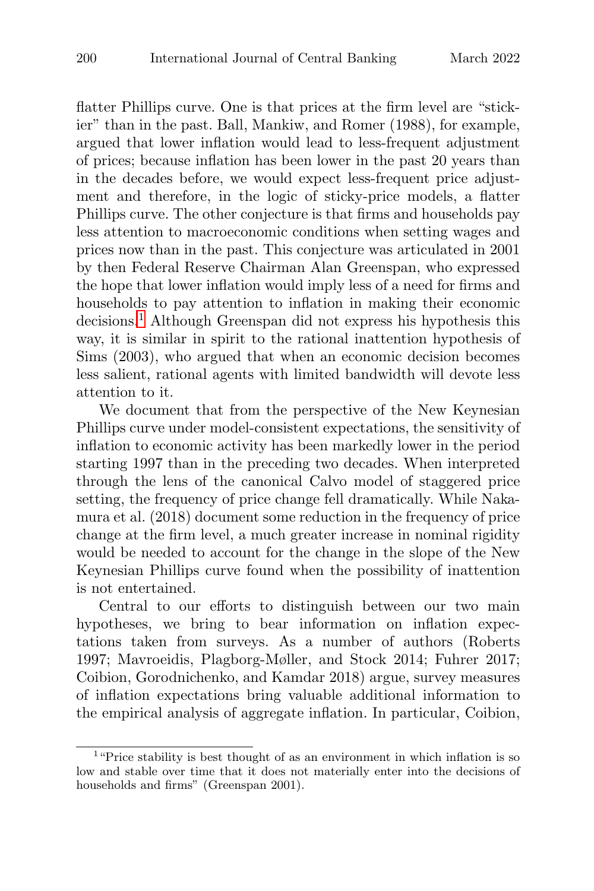flatter Phillips curve. One is that prices at the firm level are "stickier" than in the past. Ball, Mankiw, and Romer (1988), for example, argued that lower inflation would lead to less-frequent adjustment of prices; because inflation has been lower in the past 20 years than in the decades before, we would expect less-frequent price adjustment and therefore, in the logic of sticky-price models, a flatter Phillips curve. The other conjecture is that firms and households pay less attention to macroeconomic conditions when setting wages and prices now than in the past. This conjecture was articulated in 2001 by then Federal Reserve Chairman Alan Greenspan, who expressed the hope that lower inflation would imply less of a need for firms and households to pay attention to inflation in making their economic decisions.<sup>1</sup> Although Greenspan did not express his hypothesis this way, it is similar in spirit to the rational inattention hypothesis of Sims (2003), who argued that when an economic decision becomes less salient, rational agents with limited bandwidth will devote less attention to it.

We document that from the perspective of the New Keynesian Phillips curve under model-consistent expectations, the sensitivity of inflation to economic activity has been markedly lower in the period starting 1997 than in the preceding two decades. When interpreted through the lens of the canonical Calvo model of staggered price setting, the frequency of price change fell dramatically. While Nakamura et al. (2018) document some reduction in the frequency of price change at the firm level, a much greater increase in nominal rigidity would be needed to account for the change in the slope of the New Keynesian Phillips curve found when the possibility of inattention is not entertained.

Central to our efforts to distinguish between our two main hypotheses, we bring to bear information on inflation expectations taken from surveys. As a number of authors (Roberts 1997; Mavroeidis, Plagborg-Møller, and Stock 2014; Fuhrer 2017; Coibion, Gorodnichenko, and Kamdar 2018) argue, survey measures of inflation expectations bring valuable additional information to the empirical analysis of aggregate inflation. In particular, Coibion,

 $1$ <sup>4</sup>Price stability is best thought of as an environment in which inflation is so low and stable over time that it does not materially enter into the decisions of households and firms" (Greenspan 2001).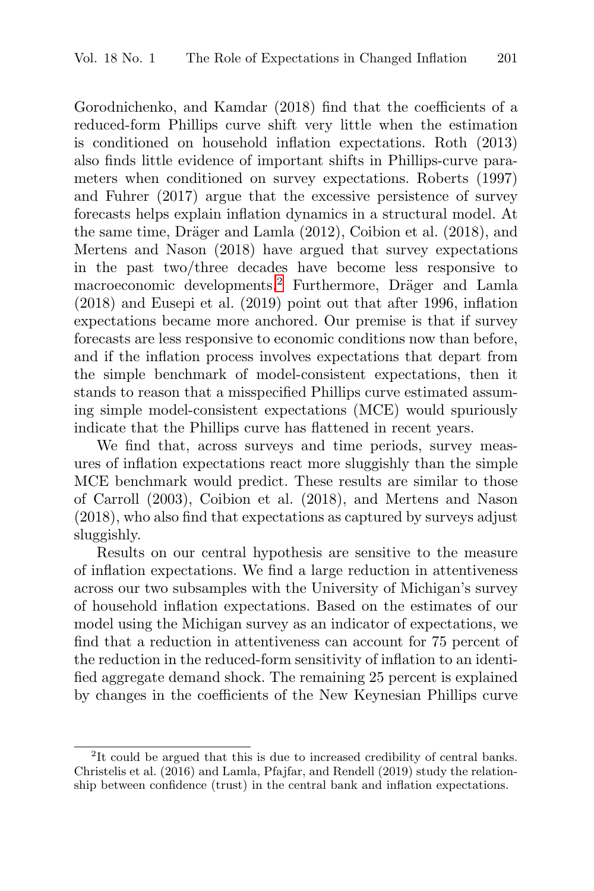Gorodnichenko, and Kamdar (2018) find that the coefficients of a reduced-form Phillips curve shift very little when the estimation is conditioned on household inflation expectations. Roth (2013) also finds little evidence of important shifts in Phillips-curve parameters when conditioned on survey expectations. Roberts (1997) and Fuhrer (2017) argue that the excessive persistence of survey forecasts helps explain inflation dynamics in a structural model. At the same time, Dräger and Lamla  $(2012)$ , Coibion et al.  $(2018)$ , and Mertens and Nason (2018) have argued that survey expectations in the past two/three decades have become less responsive to macroeconomic developments.<sup>2</sup> Furthermore, Dräger and Lamla (2018) and Eusepi et al. (2019) point out that after 1996, inflation expectations became more anchored. Our premise is that if survey forecasts are less responsive to economic conditions now than before, and if the inflation process involves expectations that depart from the simple benchmark of model-consistent expectations, then it stands to reason that a misspecified Phillips curve estimated assuming simple model-consistent expectations (MCE) would spuriously indicate that the Phillips curve has flattened in recent years.

We find that, across surveys and time periods, survey measures of inflation expectations react more sluggishly than the simple MCE benchmark would predict. These results are similar to those of Carroll (2003), Coibion et al. (2018), and Mertens and Nason (2018), who also find that expectations as captured by surveys adjust sluggishly.

Results on our central hypothesis are sensitive to the measure of inflation expectations. We find a large reduction in attentiveness across our two subsamples with the University of Michigan's survey of household inflation expectations. Based on the estimates of our model using the Michigan survey as an indicator of expectations, we find that a reduction in attentiveness can account for 75 percent of the reduction in the reduced-form sensitivity of inflation to an identified aggregate demand shock. The remaining 25 percent is explained by changes in the coefficients of the New Keynesian Phillips curve

<sup>&</sup>lt;sup>2</sup>It could be argued that this is due to increased credibility of central banks. Christelis et al. (2016) and Lamla, Pfajfar, and Rendell (2019) study the relationship between confidence (trust) in the central bank and inflation expectations.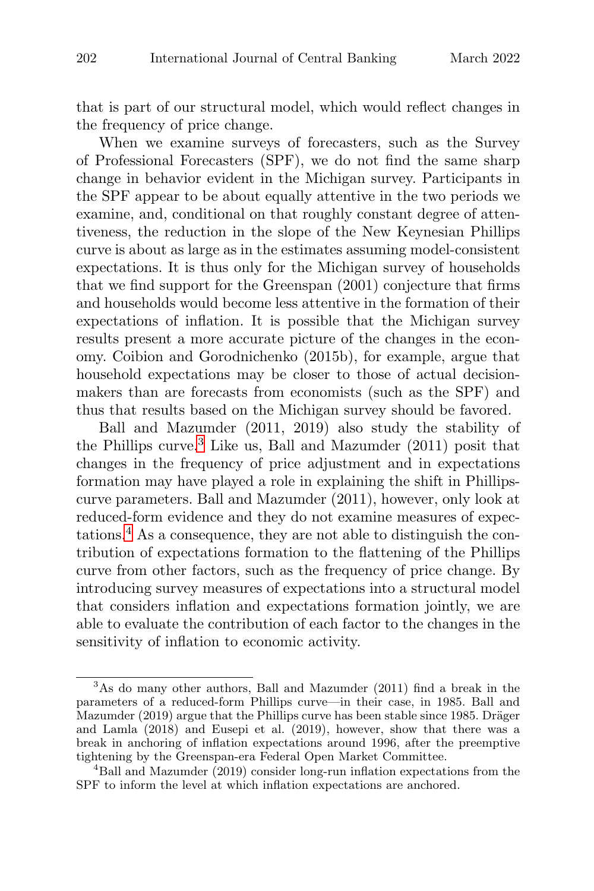that is part of our structural model, which would reflect changes in the frequency of price change.

When we examine surveys of forecasters, such as the Survey of Professional Forecasters (SPF), we do not find the same sharp change in behavior evident in the Michigan survey. Participants in the SPF appear to be about equally attentive in the two periods we examine, and, conditional on that roughly constant degree of attentiveness, the reduction in the slope of the New Keynesian Phillips curve is about as large as in the estimates assuming model-consistent expectations. It is thus only for the Michigan survey of households that we find support for the Greenspan (2001) conjecture that firms and households would become less attentive in the formation of their expectations of inflation. It is possible that the Michigan survey results present a more accurate picture of the changes in the economy. Coibion and Gorodnichenko (2015b), for example, argue that household expectations may be closer to those of actual decisionmakers than are forecasts from economists (such as the SPF) and thus that results based on the Michigan survey should be favored.

Ball and Mazumder (2011, 2019) also study the stability of the Phillips curve.<sup>3</sup> Like us, Ball and Mazumder  $(2011)$  posit that changes in the frequency of price adjustment and in expectations formation may have played a role in explaining the shift in Phillipscurve parameters. Ball and Mazumder (2011), however, only look at reduced-form evidence and they do not examine measures of expectations.<sup>4</sup> As a consequence, they are not able to distinguish the contribution of expectations formation to the flattening of the Phillips curve from other factors, such as the frequency of price change. By introducing survey measures of expectations into a structural model that considers inflation and expectations formation jointly, we are able to evaluate the contribution of each factor to the changes in the sensitivity of inflation to economic activity.

<sup>3</sup>As do many other authors, Ball and Mazumder (2011) find a break in the parameters of a reduced-form Phillips curve—in their case, in 1985. Ball and Mazumder (2019) argue that the Phillips curve has been stable since 1985. Dräger and Lamla (2018) and Eusepi et al. (2019), however, show that there was a break in anchoring of inflation expectations around 1996, after the preemptive tightening by the Greenspan-era Federal Open Market Committee.<br><sup>4</sup>Ball and Mazumder (2019) consider long-run inflation expectations from the

SPF to inform the level at which inflation expectations are anchored.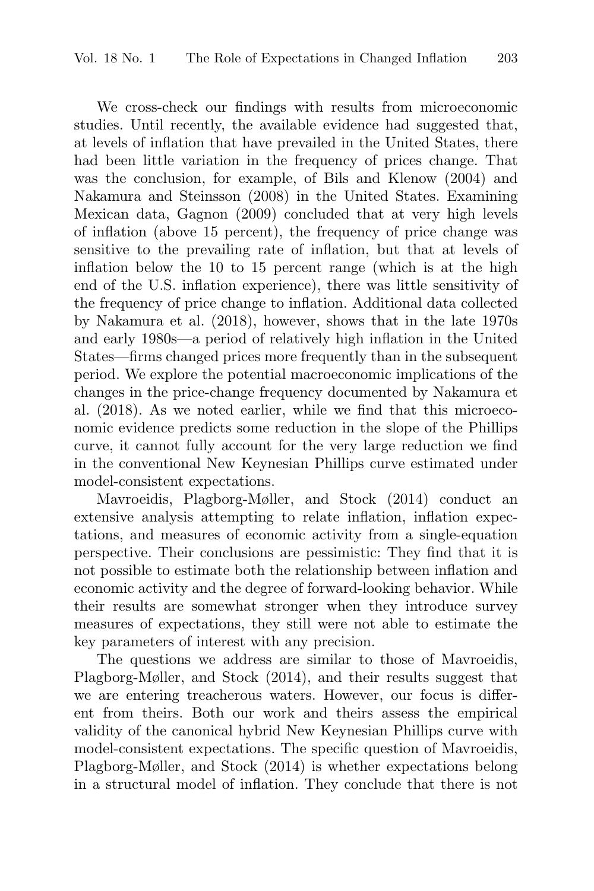We cross-check our findings with results from microeconomic studies. Until recently, the available evidence had suggested that, at levels of inflation that have prevailed in the United States, there had been little variation in the frequency of prices change. That was the conclusion, for example, of Bils and Klenow (2004) and Nakamura and Steinsson (2008) in the United States. Examining Mexican data, Gagnon (2009) concluded that at very high levels of inflation (above 15 percent), the frequency of price change was sensitive to the prevailing rate of inflation, but that at levels of inflation below the 10 to 15 percent range (which is at the high end of the U.S. inflation experience), there was little sensitivity of the frequency of price change to inflation. Additional data collected by Nakamura et al. (2018), however, shows that in the late 1970s and early 1980s—a period of relatively high inflation in the United States—firms changed prices more frequently than in the subsequent period. We explore the potential macroeconomic implications of the changes in the price-change frequency documented by Nakamura et al. (2018). As we noted earlier, while we find that this microeconomic evidence predicts some reduction in the slope of the Phillips curve, it cannot fully account for the very large reduction we find in the conventional New Keynesian Phillips curve estimated under model-consistent expectations.

Mavroeidis, Plagborg-Møller, and Stock (2014) conduct an extensive analysis attempting to relate inflation, inflation expectations, and measures of economic activity from a single-equation perspective. Their conclusions are pessimistic: They find that it is not possible to estimate both the relationship between inflation and economic activity and the degree of forward-looking behavior. While their results are somewhat stronger when they introduce survey measures of expectations, they still were not able to estimate the key parameters of interest with any precision.

The questions we address are similar to those of Mavroeidis, Plagborg-Møller, and Stock (2014), and their results suggest that we are entering treacherous waters. However, our focus is different from theirs. Both our work and theirs assess the empirical validity of the canonical hybrid New Keynesian Phillips curve with model-consistent expectations. The specific question of Mavroeidis, Plagborg-Møller, and Stock (2014) is whether expectations belong in a structural model of inflation. They conclude that there is not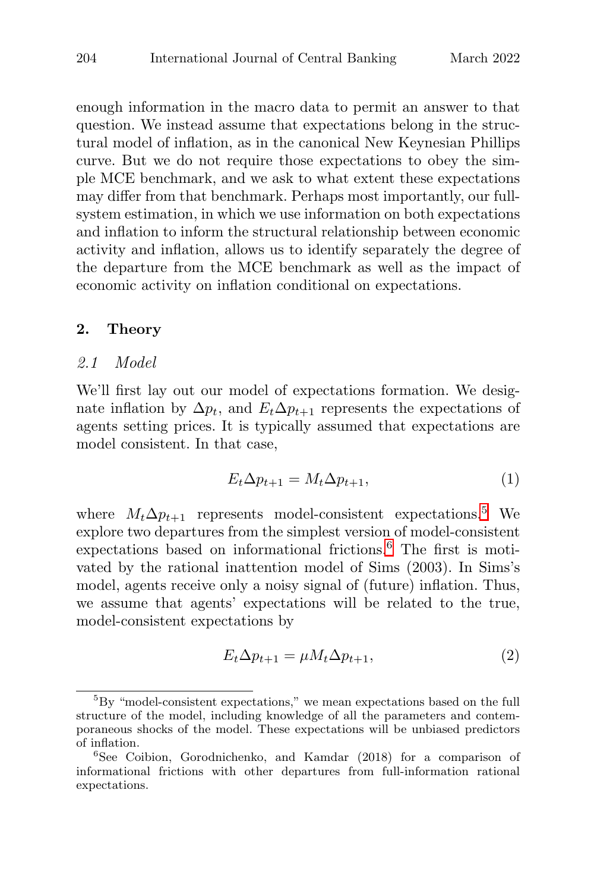enough information in the macro data to permit an answer to that question. We instead assume that expectations belong in the structural model of inflation, as in the canonical New Keynesian Phillips curve. But we do not require those expectations to obey the simple MCE benchmark, and we ask to what extent these expectations may differ from that benchmark. Perhaps most importantly, our fullsystem estimation, in which we use information on both expectations and inflation to inform the structural relationship between economic activity and inflation, allows us to identify separately the degree of the departure from the MCE benchmark as well as the impact of economic activity on inflation conditional on expectations.

## **2. Theory**

# 2.1 Model

We'll first lay out our model of expectations formation. We designate inflation by  $\Delta p_t$ , and  $E_t \Delta p_{t+1}$  represents the expectations of agents setting prices. It is typically assumed that expectations are model consistent. In that case,

$$
E_t \Delta p_{t+1} = M_t \Delta p_{t+1},\tag{1}
$$

where  $M_t \Delta p_{t+1}$  represents model-consistent expectations.<sup>5</sup> We explore two departures from the simplest version of model-consistent expectations based on informational frictions.<sup>6</sup> The first is motivated by the rational inattention model of Sims (2003). In Sims's model, agents receive only a noisy signal of (future) inflation. Thus, we assume that agents' expectations will be related to the true, model-consistent expectations by

$$
E_t \Delta p_{t+1} = \mu M_t \Delta p_{t+1},\tag{2}
$$

<sup>&</sup>lt;sup>5</sup>By "model-consistent expectations," we mean expectations based on the full structure of the model, including knowledge of all the parameters and contemporaneous shocks of the model. These expectations will be unbiased predictors of inflation.<br>
<sup>6</sup>See Coibion, Gorodnichenko, and Kamdar (2018) for a comparison of

informational frictions with other departures from full-information rational expectations.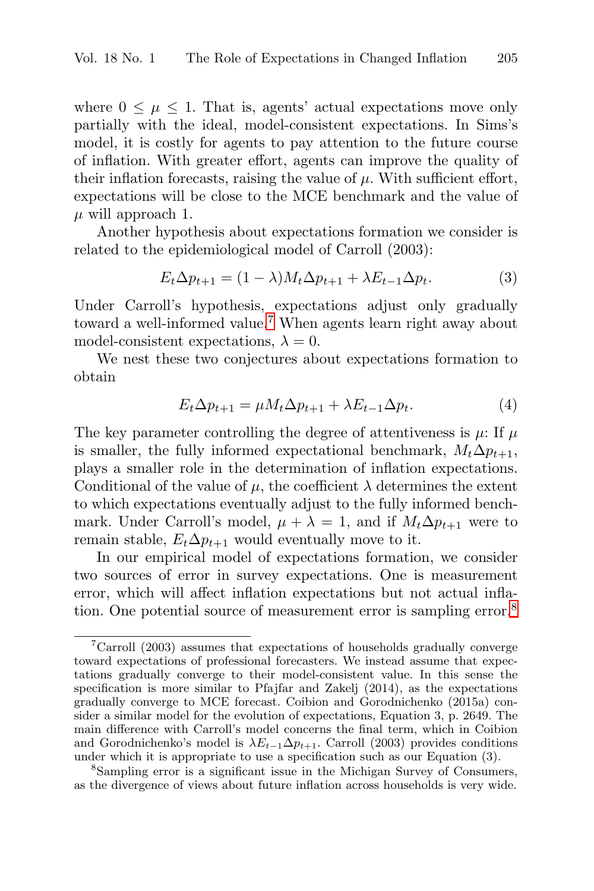where  $0 \leq \mu \leq 1$ . That is, agents' actual expectations move only partially with the ideal, model-consistent expectations. In Sims's model, it is costly for agents to pay attention to the future course of inflation. With greater effort, agents can improve the quality of their inflation forecasts, raising the value of  $\mu$ . With sufficient effort, expectations will be close to the MCE benchmark and the value of  $\mu$  will approach 1.

Another hypothesis about expectations formation we consider is related to the epidemiological model of Carroll (2003):

$$
E_t \Delta p_{t+1} = (1 - \lambda)M_t \Delta p_{t+1} + \lambda E_{t-1} \Delta p_t.
$$
 (3)

Under Carroll's hypothesis, expectations adjust only gradually toward a well-informed value.<sup>7</sup> When agents learn right away about model-consistent expectations,  $\lambda = 0$ .

We nest these two conjectures about expectations formation to obtain

$$
E_t \Delta p_{t+1} = \mu M_t \Delta p_{t+1} + \lambda E_{t-1} \Delta p_t.
$$
 (4)

The key parameter controlling the degree of attentiveness is  $\mu$ : If  $\mu$ is smaller, the fully informed expectational benchmark,  $M_t \Delta p_{t+1}$ , plays a smaller role in the determination of inflation expectations. Conditional of the value of  $\mu$ , the coefficient  $\lambda$  determines the extent to which expectations eventually adjust to the fully informed benchmark. Under Carroll's model,  $\mu + \lambda = 1$ , and if  $M_t \Delta p_{t+1}$  were to remain stable,  $E_t \Delta p_{t+1}$  would eventually move to it.

In our empirical model of expectations formation, we consider two sources of error in survey expectations. One is measurement error, which will affect inflation expectations but not actual inflation. One potential source of measurement error is sampling error.<sup>8</sup>

 $7$ Carroll (2003) assumes that expectations of households gradually converge toward expectations of professional forecasters. We instead assume that expectations gradually converge to their model-consistent value. In this sense the specification is more similar to Pfajfar and Zakelj (2014), as the expectations gradually converge to MCE forecast. Coibion and Gorodnichenko (2015a) consider a similar model for the evolution of expectations, Equation 3, p. 2649. The main difference with Carroll's model concerns the final term, which in Coibion and Gorodnichenko's model is  $\lambda E_{t-1} \Delta p_{t+1}$ . Carroll (2003) provides conditions

under which it is appropriate to use a specification such as our Equation (3). <sup>8</sup>Sampling error is a significant issue in the Michigan Survey of Consumers, as the divergence of views about future inflation across households is very wide.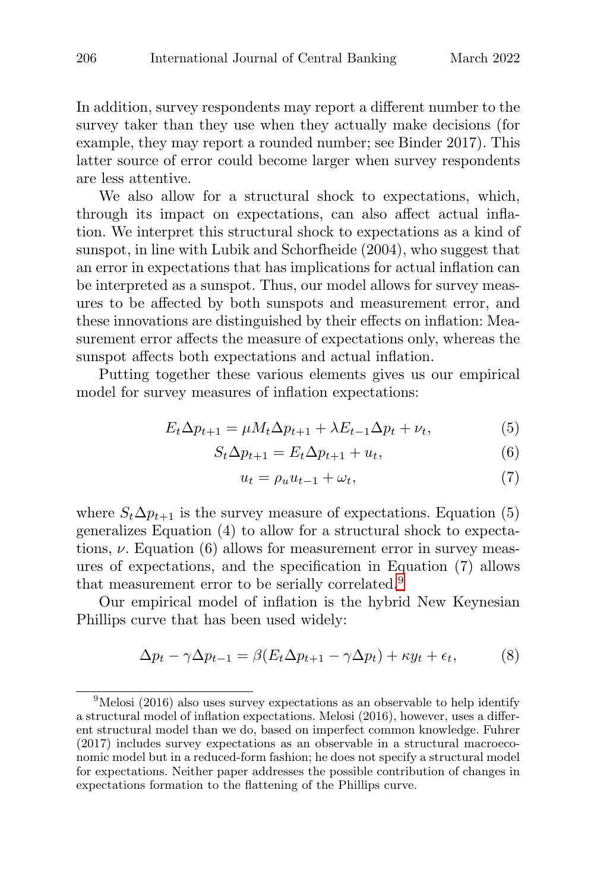In addition, survey respondents may report a different number to the survey taker than they use when they actually make decisions (for example, they may report a rounded number; see Binder 2017). This latter source of error could become larger when survey respondents are less attentive.

We also allow for a structural shock to expectations, which, through its impact on expectations, can also affect actual inflation. We interpret this structural shock to expectations as a kind of sunspot, in line with Lubik and Schorfheide (2004), who suggest that an error in expectations that has implications for actual inflation can be interpreted as a sunspot. Thus, our model allows for survey measures to be affected by both sunspots and measurement error, and these innovations are distinguished by their effects on inflation: Measurement error affects the measure of expectations only, whereas the sunspot affects both expectations and actual inflation.

Putting together these various elements gives us our empirical model for survey measures of inflation expectations:

$$
E_t \Delta p_{t+1} = \mu M_t \Delta p_{t+1} + \lambda E_{t-1} \Delta p_t + \nu_t, \tag{5}
$$

$$
S_t \Delta p_{t+1} = E_t \Delta p_{t+1} + u_t, \tag{6}
$$

$$
u_t = \rho_u u_{t-1} + \omega_t,\tag{7}
$$

where  $S_t \Delta p_{t+1}$  is the survey measure of expectations. Equation (5) generalizes Equation (4) to allow for a structural shock to expectations,  $\nu$ . Equation (6) allows for measurement error in survey measures of expectations, and the specification in Equation (7) allows that measurement error to be serially correlated.<sup>9</sup>

Our empirical model of inflation is the hybrid New Keynesian Phillips curve that has been used widely:

$$
\Delta p_t - \gamma \Delta p_{t-1} = \beta (E_t \Delta p_{t+1} - \gamma \Delta p_t) + \kappa y_t + \epsilon_t, \tag{8}
$$

 $9^9$ Melosi (2016) also uses survey expectations as an observable to help identify a structural model of inflation expectations. Melosi (2016), however, uses a different structural model than we do, based on imperfect common knowledge. Fuhrer (2017) includes survey expectations as an observable in a structural macroeconomic model but in a reduced-form fashion; he does not specify a structural model for expectations. Neither paper addresses the possible contribution of changes in expectations formation to the flattening of the Phillips curve.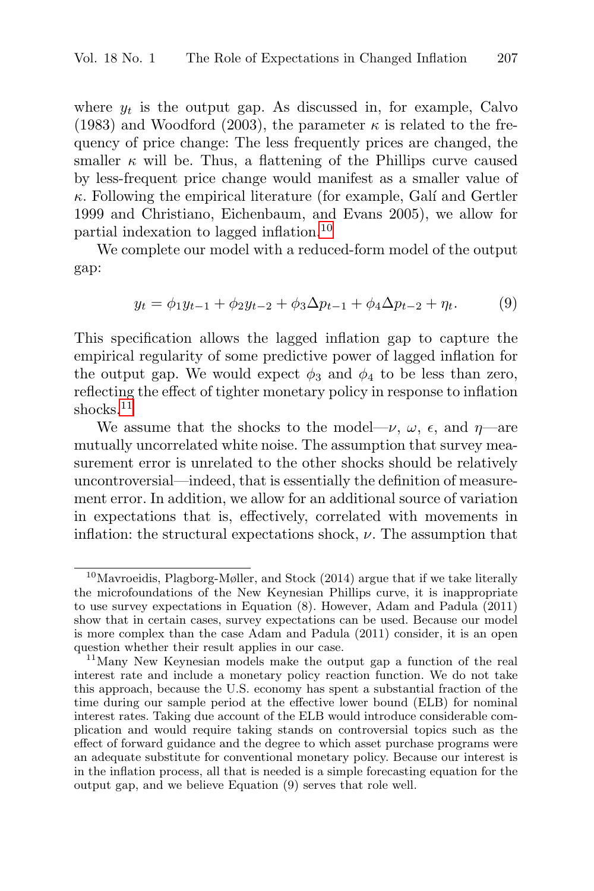where  $y_t$  is the output gap. As discussed in, for example, Calvo (1983) and Woodford (2003), the parameter  $\kappa$  is related to the frequency of price change: The less frequently prices are changed, the smaller  $\kappa$  will be. Thus, a flattening of the Phillips curve caused by less-frequent price change would manifest as a smaller value of  $\kappa$ . Following the empirical literature (for example, Galí and Gertler 1999 and Christiano, Eichenbaum, and Evans 2005), we allow for partial indexation to lagged inflation.<sup>10</sup>

We complete our model with a reduced-form model of the output gap:

$$
y_t = \phi_1 y_{t-1} + \phi_2 y_{t-2} + \phi_3 \Delta p_{t-1} + \phi_4 \Delta p_{t-2} + \eta_t. \tag{9}
$$

This specification allows the lagged inflation gap to capture the empirical regularity of some predictive power of lagged inflation for the output gap. We would expect  $\phi_3$  and  $\phi_4$  to be less than zero, reflecting the effect of tighter monetary policy in response to inflation shocks.<sup>11</sup>

We assume that the shocks to the model— $\nu$ ,  $\omega$ ,  $\epsilon$ , and  $\eta$ —are mutually uncorrelated white noise. The assumption that survey measurement error is unrelated to the other shocks should be relatively uncontroversial—indeed, that is essentially the definition of measurement error. In addition, we allow for an additional source of variation in expectations that is, effectively, correlated with movements in inflation: the structural expectations shock,  $\nu$ . The assumption that

 $10$ Mavroeidis, Plagborg-Møller, and Stock (2014) argue that if we take literally the microfoundations of the New Keynesian Phillips curve, it is inappropriate to use survey expectations in Equation (8). However, Adam and Padula (2011) show that in certain cases, survey expectations can be used. Because our model is more complex than the case Adam and Padula (2011) consider, it is an open question whether their result applies in our case.  $11$ Many New Keynesian models make the output gap a function of the real

interest rate and include a monetary policy reaction function. We do not take this approach, because the U.S. economy has spent a substantial fraction of the time during our sample period at the effective lower bound (ELB) for nominal interest rates. Taking due account of the ELB would introduce considerable complication and would require taking stands on controversial topics such as the effect of forward guidance and the degree to which asset purchase programs were an adequate substitute for conventional monetary policy. Because our interest is in the inflation process, all that is needed is a simple forecasting equation for the output gap, and we believe Equation (9) serves that role well.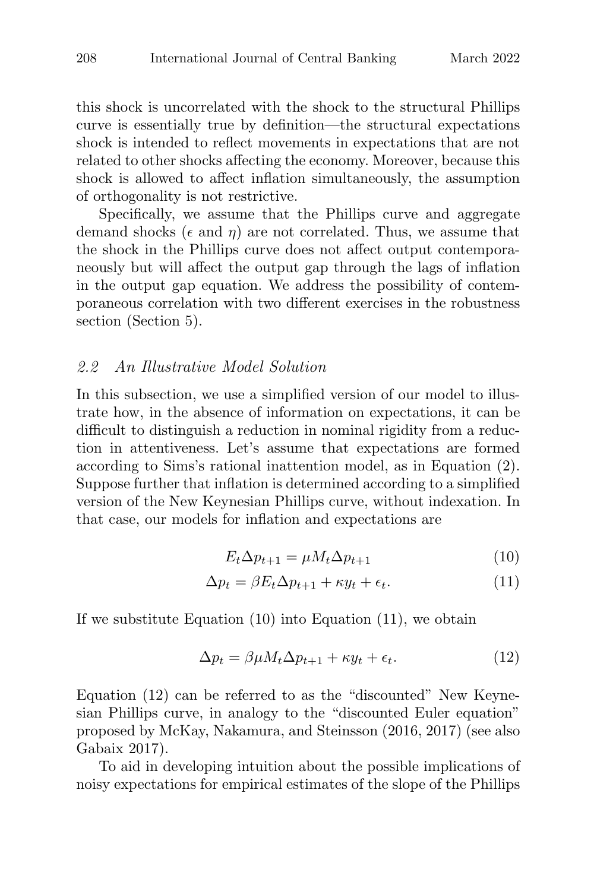this shock is uncorrelated with the shock to the structural Phillips curve is essentially true by definition—the structural expectations shock is intended to reflect movements in expectations that are not related to other shocks affecting the economy. Moreover, because this shock is allowed to affect inflation simultaneously, the assumption of orthogonality is not restrictive.

Specifically, we assume that the Phillips curve and aggregate demand shocks ( $\epsilon$  and  $\eta$ ) are not correlated. Thus, we assume that the shock in the Phillips curve does not affect output contemporaneously but will affect the output gap through the lags of inflation in the output gap equation. We address the possibility of contemporaneous correlation with two different exercises in the robustness section (Section 5).

# 2.2 An Illustrative Model Solution

In this subsection, we use a simplified version of our model to illustrate how, in the absence of information on expectations, it can be difficult to distinguish a reduction in nominal rigidity from a reduction in attentiveness. Let's assume that expectations are formed according to Sims's rational inattention model, as in Equation (2). Suppose further that inflation is determined according to a simplified version of the New Keynesian Phillips curve, without indexation. In that case, our models for inflation and expectations are

$$
E_t \Delta p_{t+1} = \mu M_t \Delta p_{t+1} \tag{10}
$$

$$
\Delta p_t = \beta E_t \Delta p_{t+1} + \kappa y_t + \epsilon_t. \tag{11}
$$

If we substitute Equation (10) into Equation (11), we obtain

$$
\Delta p_t = \beta \mu M_t \Delta p_{t+1} + \kappa y_t + \epsilon_t. \tag{12}
$$

Equation (12) can be referred to as the "discounted" New Keynesian Phillips curve, in analogy to the "discounted Euler equation" proposed by McKay, Nakamura, and Steinsson (2016, 2017) (see also Gabaix 2017).

To aid in developing intuition about the possible implications of noisy expectations for empirical estimates of the slope of the Phillips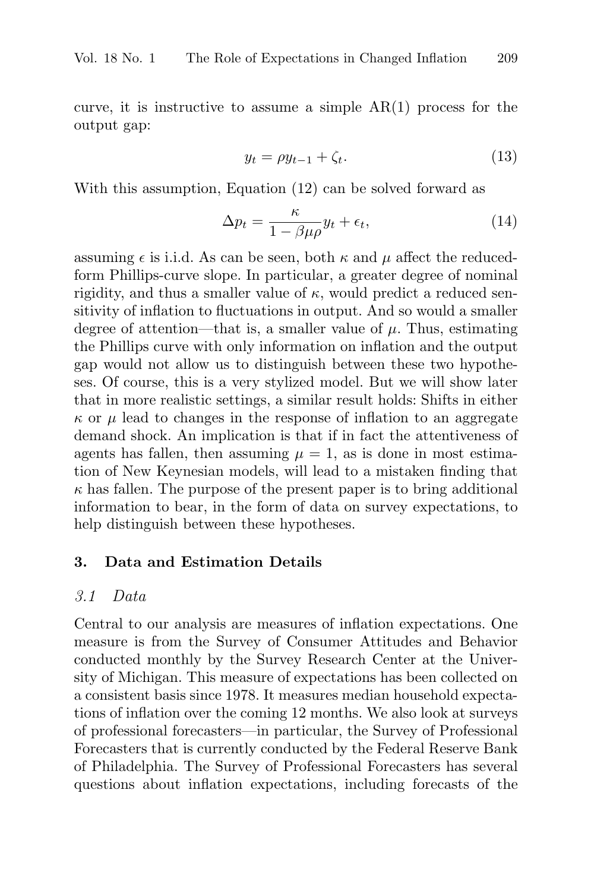curve, it is instructive to assume a simple  $AR(1)$  process for the output gap:

$$
y_t = \rho y_{t-1} + \zeta_t. \tag{13}
$$

With this assumption, Equation (12) can be solved forward as

$$
\Delta p_t = \frac{\kappa}{1 - \beta \mu \rho} y_t + \epsilon_t, \tag{14}
$$

assuming  $\epsilon$  is i.i.d. As can be seen, both  $\kappa$  and  $\mu$  affect the reducedform Phillips-curve slope. In particular, a greater degree of nominal rigidity, and thus a smaller value of  $\kappa$ , would predict a reduced sensitivity of inflation to fluctuations in output. And so would a smaller degree of attention—that is, a smaller value of  $\mu$ . Thus, estimating the Phillips curve with only information on inflation and the output gap would not allow us to distinguish between these two hypotheses. Of course, this is a very stylized model. But we will show later that in more realistic settings, a similar result holds: Shifts in either  $\kappa$  or  $\mu$  lead to changes in the response of inflation to an aggregate demand shock. An implication is that if in fact the attentiveness of agents has fallen, then assuming  $\mu = 1$ , as is done in most estimation of New Keynesian models, will lead to a mistaken finding that  $\kappa$  has fallen. The purpose of the present paper is to bring additional information to bear, in the form of data on survey expectations, to help distinguish between these hypotheses.

### **3. Data and Estimation Details**

## 3.1 Data

Central to our analysis are measures of inflation expectations. One measure is from the Survey of Consumer Attitudes and Behavior conducted monthly by the Survey Research Center at the University of Michigan. This measure of expectations has been collected on a consistent basis since 1978. It measures median household expectations of inflation over the coming 12 months. We also look at surveys of professional forecasters—in particular, the Survey of Professional Forecasters that is currently conducted by the Federal Reserve Bank of Philadelphia. The Survey of Professional Forecasters has several questions about inflation expectations, including forecasts of the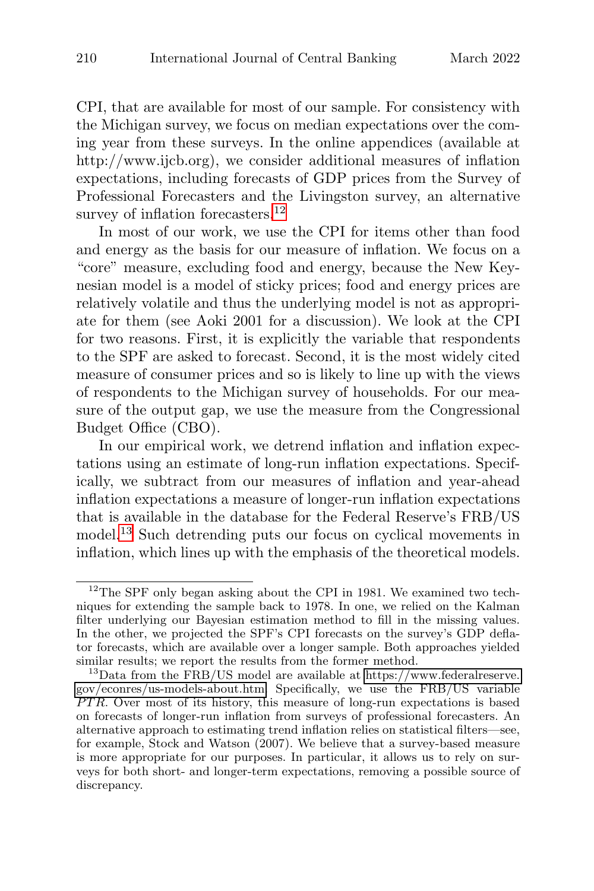CPI, that are available for most of our sample. For consistency with the Michigan survey, we focus on median expectations over the coming year from these surveys. In the online appendices (available at http://www.ijcb.org), we consider additional measures of inflation expectations, including forecasts of GDP prices from the Survey of Professional Forecasters and the Livingston survey, an alternative survey of inflation forecasters.<sup>12</sup>

In most of our work, we use the CPI for items other than food and energy as the basis for our measure of inflation. We focus on a "core" measure, excluding food and energy, because the New Keynesian model is a model of sticky prices; food and energy prices are relatively volatile and thus the underlying model is not as appropriate for them (see Aoki 2001 for a discussion). We look at the CPI for two reasons. First, it is explicitly the variable that respondents to the SPF are asked to forecast. Second, it is the most widely cited measure of consumer prices and so is likely to line up with the views of respondents to the Michigan survey of households. For our measure of the output gap, we use the measure from the Congressional Budget Office (CBO).

In our empirical work, we detrend inflation and inflation expectations using an estimate of long-run inflation expectations. Specifically, we subtract from our measures of inflation and year-ahead inflation expectations a measure of longer-run inflation expectations that is available in the database for the Federal Reserve's FRB/US model.<sup>13</sup> Such detrending puts our focus on cyclical movements in inflation, which lines up with the emphasis of the theoretical models.

<sup>&</sup>lt;sup>12</sup>The SPF only began asking about the CPI in 1981. We examined two techniques for extending the sample back to 1978. In one, we relied on the Kalman filter underlying our Bayesian estimation method to fill in the missing values. In the other, we projected the SPF's CPI forecasts on the survey's GDP deflator forecasts, which are available over a longer sample. Both approaches yielded

 $13Data$  from the FRB/US model are available at [https://www.federalreserve.](https://www.federalreserve.gov/econres/us-models-about.htm) [gov/econres/us-models-about.htm.](https://www.federalreserve.gov/econres/us-models-about.htm) Specifically, we use the FRB/US variable PTR. Over most of its history, this measure of long-run expectations is based on forecasts of longer-run inflation from surveys of professional forecasters. An alternative approach to estimating trend inflation relies on statistical filters—see, for example, Stock and Watson (2007). We believe that a survey-based measure is more appropriate for our purposes. In particular, it allows us to rely on surveys for both short- and longer-term expectations, removing a possible source of discrepancy.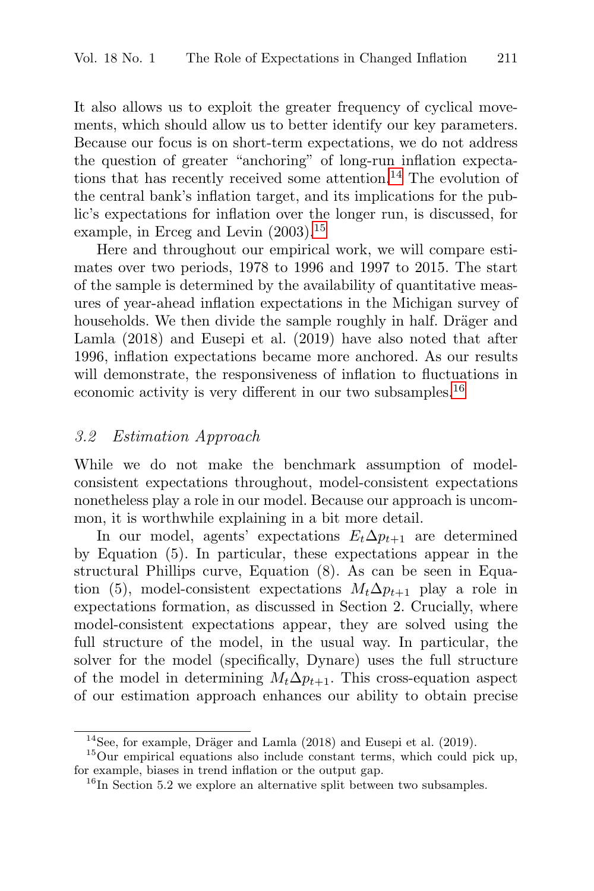It also allows us to exploit the greater frequency of cyclical movements, which should allow us to better identify our key parameters. Because our focus is on short-term expectations, we do not address the question of greater "anchoring" of long-run inflation expectations that has recently received some attention.<sup>14</sup> The evolution of the central bank's inflation target, and its implications for the public's expectations for inflation over the longer run, is discussed, for example, in Erceg and Levin  $(2003).^{15}$ 

Here and throughout our empirical work, we will compare estimates over two periods, 1978 to 1996 and 1997 to 2015. The start of the sample is determined by the availability of quantitative measures of year-ahead inflation expectations in the Michigan survey of households. We then divide the sample roughly in half. Dräger and Lamla (2018) and Eusepi et al. (2019) have also noted that after 1996, inflation expectations became more anchored. As our results will demonstrate, the responsiveness of inflation to fluctuations in economic activity is very different in our two subsamples.<sup>16</sup>

## 3.2 Estimation Approach

While we do not make the benchmark assumption of modelconsistent expectations throughout, model-consistent expectations nonetheless play a role in our model. Because our approach is uncommon, it is worthwhile explaining in a bit more detail.

In our model, agents' expectations  $E_t \Delta p_{t+1}$  are determined by Equation (5). In particular, these expectations appear in the structural Phillips curve, Equation (8). As can be seen in Equation (5), model-consistent expectations  $M_t \Delta p_{t+1}$  play a role in expectations formation, as discussed in Section 2. Crucially, where model-consistent expectations appear, they are solved using the full structure of the model, in the usual way. In particular, the solver for the model (specifically, Dynare) uses the full structure of the model in determining  $M_t \Delta p_{t+1}$ . This cross-equation aspect of our estimation approach enhances our ability to obtain precise

<sup>&</sup>lt;sup>14</sup>See, for example, Dräger and Lamla (2018) and Eusepi et al. (2019). <sup>15</sup>Our empirical equations also include constant terms, which could pick up, for example, biases in trend inflation or the output gap.  $16$ In Section 5.2 we explore an alternative split between two subsamples.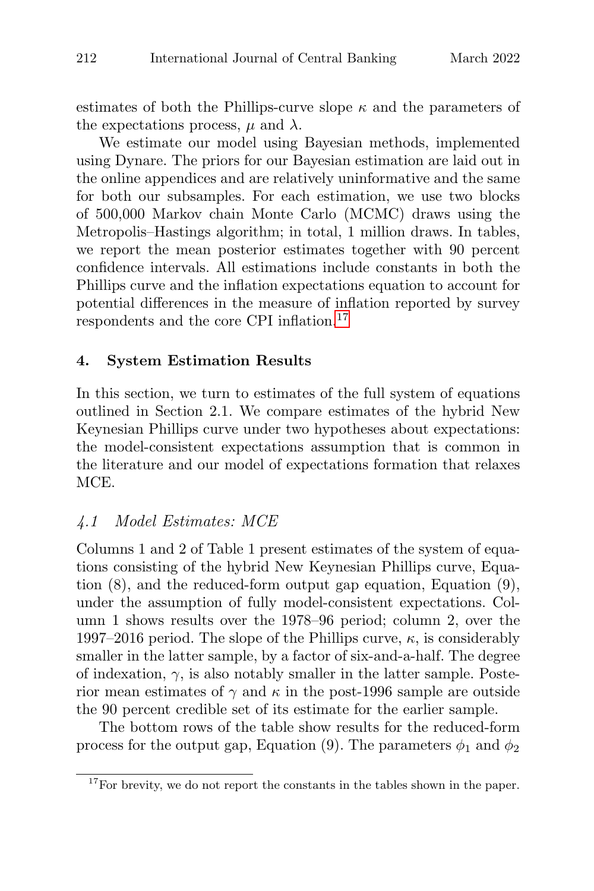estimates of both the Phillips-curve slope  $\kappa$  and the parameters of the expectations process,  $\mu$  and  $\lambda$ .

We estimate our model using Bayesian methods, implemented using Dynare. The priors for our Bayesian estimation are laid out in the online appendices and are relatively uninformative and the same for both our subsamples. For each estimation, we use two blocks of 500,000 Markov chain Monte Carlo (MCMC) draws using the Metropolis–Hastings algorithm; in total, 1 million draws. In tables, we report the mean posterior estimates together with 90 percent confidence intervals. All estimations include constants in both the Phillips curve and the inflation expectations equation to account for potential differences in the measure of inflation reported by survey respondents and the core CPI inflation.<sup>17</sup>

## **4. System Estimation Results**

In this section, we turn to estimates of the full system of equations outlined in Section 2.1. We compare estimates of the hybrid New Keynesian Phillips curve under two hypotheses about expectations: the model-consistent expectations assumption that is common in the literature and our model of expectations formation that relaxes MCE.

# 4.1 Model Estimates: MCE

Columns 1 and 2 of Table 1 present estimates of the system of equations consisting of the hybrid New Keynesian Phillips curve, Equation (8), and the reduced-form output gap equation, Equation (9), under the assumption of fully model-consistent expectations. Column 1 shows results over the 1978–96 period; column 2, over the 1997–2016 period. The slope of the Phillips curve,  $\kappa$ , is considerably smaller in the latter sample, by a factor of six-and-a-half. The degree of indexation,  $\gamma$ , is also notably smaller in the latter sample. Posterior mean estimates of  $\gamma$  and  $\kappa$  in the post-1996 sample are outside the 90 percent credible set of its estimate for the earlier sample.

The bottom rows of the table show results for the reduced-form process for the output gap, Equation (9). The parameters  $\phi_1$  and  $\phi_2$ 

 $17$ For brevity, we do not report the constants in the tables shown in the paper.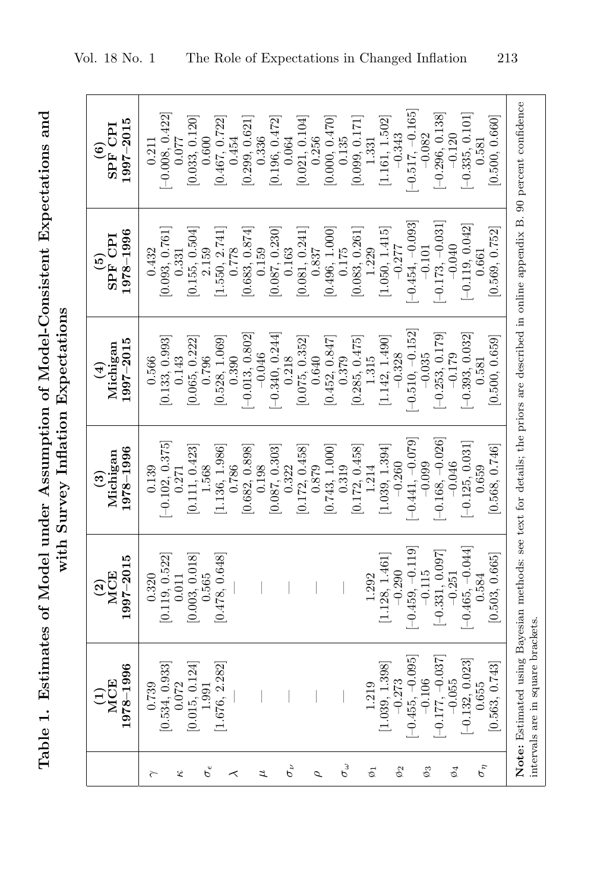Table 1. Estimates of Model under Assumption of Model-Consistent Expectations and Table 1. Estimates of Model under Assumption of Model-Consistent Expectations and with Survey Inflation Expectations **with Survey Inflation Expectations**

|                          | 1978-1996<br>$\frac{1}{NCE}$                                                                                                                                            | 1997-2015<br>$\frac{2}{\text{NCE}}$ | 1978-1996<br>Michigan<br><u>ම</u> | 1997-2015<br>Michigan<br>$\left( \frac{4}{3} \right)$ | 1978-1996<br>$\frac{(5)}{\rm SPF}$ CPI | 1997-2015<br>$\frac{(6)}{\rm SPF}$ CPI |
|--------------------------|-------------------------------------------------------------------------------------------------------------------------------------------------------------------------|-------------------------------------|-----------------------------------|-------------------------------------------------------|----------------------------------------|----------------------------------------|
| $\overline{\mathcal{L}}$ | 0.739                                                                                                                                                                   | 0.320                               | 0.139                             | 0.566                                                 | 0.432                                  | 0.211                                  |
| Ź,                       | [0.534, 0.933]<br>0.072                                                                                                                                                 | [0.119, 0.522]<br>$0.011$           | $-0.102, 0.375$<br>0.271          | [0.133, 0.993]<br>0.143                               | [0.093, 0.761]<br>0.331                | $-0.008, 0.422$<br>0.077               |
|                          | [0.015, 0.124]                                                                                                                                                          | [0.003, 0.018]                      | [0.111, 0.423]                    | [0.065, 0.222]                                        | [0.155, 0.504]                         | [0.033, 0.120]                         |
| $\sigma_{\epsilon}$      | [1.676, 2.282]<br>1.991                                                                                                                                                 | [0.478, 0.648]<br>0.565             | [1.136, 1.986]<br>1.568           | [0.528, 1.069]<br>0.796                               | [1.550, 2.741]<br>2.159                | [0.467, 0.722]<br>0.600                |
|                          |                                                                                                                                                                         |                                     | [0.682, 0.898]<br>0.786           | $[-0.013, 0.802]$<br>0.390                            | [0.683, 0.874]<br>0.778                | [0.299, 0.621]<br>0.454                |
| F                        |                                                                                                                                                                         |                                     | 0.198                             | $-0.046$                                              | 0.159                                  | 0.336                                  |
| $\sigma_{\nu}$           |                                                                                                                                                                         |                                     | [0.087, 0.303]<br>0.322           | $-0.340, 0.244$<br>0.218                              | [0.087, 0.230]<br>0.163                | [0.196, 0.472]<br>0.064                |
|                          |                                                                                                                                                                         |                                     | [0.172, 0.458]                    | [0.075, 0.352]                                        | [0.081, 0.241]                         | [0.021, 0.104]                         |
| d                        |                                                                                                                                                                         |                                     | 0.879                             | $0.640\,$                                             | 0.837                                  | 0.256                                  |
| $\sigma_{\omega}$        |                                                                                                                                                                         |                                     | [0.743, 1.000]<br>0.319           | [0.452, 0.847]<br>0.379                               | [0.496, 1.000]<br>0.175                | [0.000, 0.470]<br>0.135                |
|                          |                                                                                                                                                                         |                                     | [0.172, 0.458]                    | [0.285, 0.475]                                        | [0.083, 0.261]                         | [0.099, 0.171]                         |
| ø1                       | [1.039, 1.398]<br>1.219                                                                                                                                                 | [1.128, 1.461]<br>1.292             | [1.039, 1.394]<br>1.214           | [1.142, 1.490]<br>1.315                               | [1.050, 1.415]<br>1.229                | [1.161, 1.502]<br>1.331                |
| Ø2                       | $-0.273$                                                                                                                                                                | $-0.290$                            | $-0.260$                          | $-0.328$                                              | $-0.277$                               | $-0.343$                               |
|                          | $-0.455, -0.095$<br>$-0.106$                                                                                                                                            | $-0.459, -0.119$<br>$-0.115$        | $[-0.441, -0.079]$<br>$-0.099$    | $-0.510, -0.152$<br>$-0.035$                          | $-0.454, -0.093$<br>$-0.101$           | $-0.517, -0.165$<br>$-0.082$           |
| Ø3                       | $[-0.177, -0.037]$                                                                                                                                                      | $[-0.331, 0.097]$                   | $-0.168, -0.026$                  | $-0.253, 0.179$                                       | $[-0.173, -0.031]$                     | $[-0.296, 0.138]$                      |
| $\emptyset$ 4            | $-0.055$                                                                                                                                                                | $-0.251$                            | $-0.046$                          | $-0.179$                                              | $-0.040$                               | $-0.120$                               |
|                          | $-0.132, 0.023$<br>0.655                                                                                                                                                | $-0.465, -0.044$<br>0.584           | $[-0.125, 0.031]$<br>0.659        | $-0.393, 0.032$<br>0.581                              | $[-0.119, 0.042]$<br>0.661             | $-0.335, 0.101$<br>0.581               |
| $\sigma_{\eta}$          | [0.563, 0.743]                                                                                                                                                          | [0.503, 0.665]                      | [0.568, 0.746]                    | [0.500, 0.659]                                        | [0.569, 0.752]                         | [0.500, 0.660]                         |
|                          | Note: Estimated using Bayesian methods: see text for details; the priors are described in online appendix B. 90 percent confidence<br>intervals are in square brackets. |                                     |                                   |                                                       |                                        |                                        |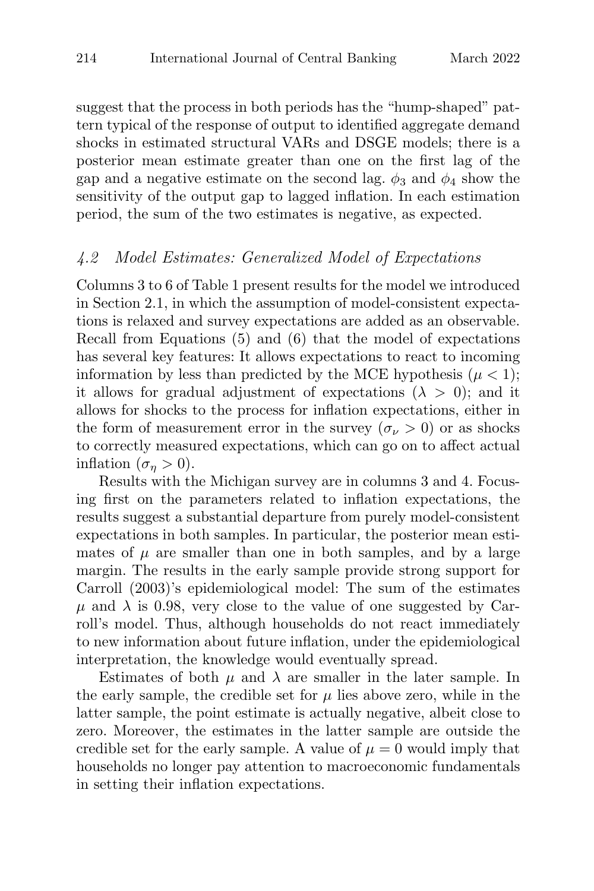suggest that the process in both periods has the "hump-shaped" pattern typical of the response of output to identified aggregate demand shocks in estimated structural VARs and DSGE models; there is a posterior mean estimate greater than one on the first lag of the gap and a negative estimate on the second lag.  $\phi_3$  and  $\phi_4$  show the sensitivity of the output gap to lagged inflation. In each estimation period, the sum of the two estimates is negative, as expected.

# 4.2 Model Estimates: Generalized Model of Expectations

Columns 3 to 6 of Table 1 present results for the model we introduced in Section 2.1, in which the assumption of model-consistent expectations is relaxed and survey expectations are added as an observable. Recall from Equations (5) and (6) that the model of expectations has several key features: It allows expectations to react to incoming information by less than predicted by the MCE hypothesis  $(\mu < 1)$ ; it allows for gradual adjustment of expectations  $(\lambda > 0)$ ; and it allows for shocks to the process for inflation expectations, either in the form of measurement error in the survey ( $\sigma_{\nu} > 0$ ) or as shocks to correctly measured expectations, which can go on to affect actual inflation  $(\sigma_n > 0)$ .

Results with the Michigan survey are in columns 3 and 4. Focusing first on the parameters related to inflation expectations, the results suggest a substantial departure from purely model-consistent expectations in both samples. In particular, the posterior mean estimates of  $\mu$  are smaller than one in both samples, and by a large margin. The results in the early sample provide strong support for Carroll (2003)'s epidemiological model: The sum of the estimates  $\mu$  and  $\lambda$  is 0.98, very close to the value of one suggested by Carroll's model. Thus, although households do not react immediately to new information about future inflation, under the epidemiological interpretation, the knowledge would eventually spread.

Estimates of both  $\mu$  and  $\lambda$  are smaller in the later sample. In the early sample, the credible set for  $\mu$  lies above zero, while in the latter sample, the point estimate is actually negative, albeit close to zero. Moreover, the estimates in the latter sample are outside the credible set for the early sample. A value of  $\mu = 0$  would imply that households no longer pay attention to macroeconomic fundamentals in setting their inflation expectations.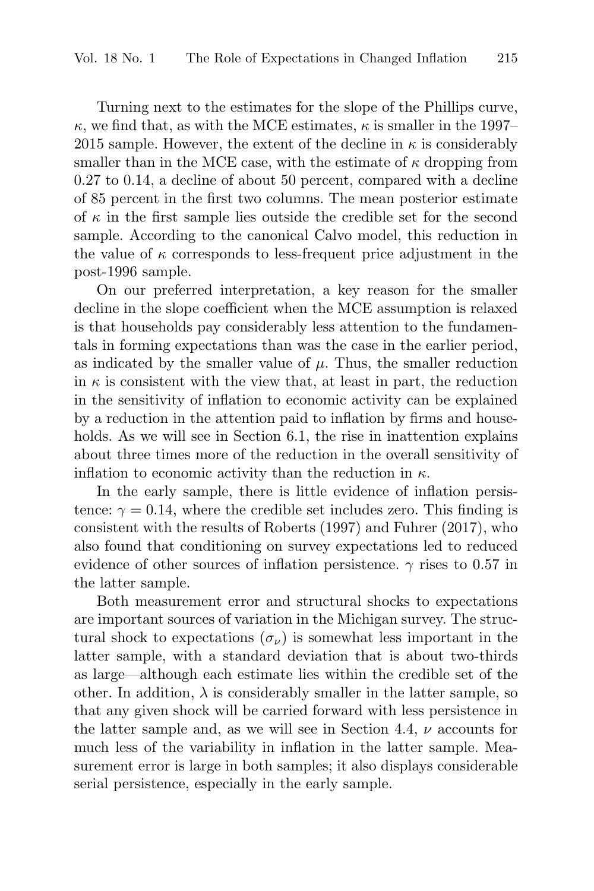Turning next to the estimates for the slope of the Phillips curve,  $\kappa$ , we find that, as with the MCE estimates,  $\kappa$  is smaller in the 1997– 2015 sample. However, the extent of the decline in  $\kappa$  is considerably smaller than in the MCE case, with the estimate of  $\kappa$  dropping from 0.27 to 0.14, a decline of about 50 percent, compared with a decline of 85 percent in the first two columns. The mean posterior estimate of  $\kappa$  in the first sample lies outside the credible set for the second sample. According to the canonical Calvo model, this reduction in the value of  $\kappa$  corresponds to less-frequent price adjustment in the post-1996 sample.

On our preferred interpretation, a key reason for the smaller decline in the slope coefficient when the MCE assumption is relaxed is that households pay considerably less attention to the fundamentals in forming expectations than was the case in the earlier period, as indicated by the smaller value of  $\mu$ . Thus, the smaller reduction in  $\kappa$  is consistent with the view that, at least in part, the reduction in the sensitivity of inflation to economic activity can be explained by a reduction in the attention paid to inflation by firms and households. As we will see in Section 6.1, the rise in inattention explains about three times more of the reduction in the overall sensitivity of inflation to economic activity than the reduction in  $\kappa$ .

In the early sample, there is little evidence of inflation persistence:  $\gamma = 0.14$ , where the credible set includes zero. This finding is consistent with the results of Roberts (1997) and Fuhrer (2017), who also found that conditioning on survey expectations led to reduced evidence of other sources of inflation persistence.  $\gamma$  rises to 0.57 in the latter sample.

Both measurement error and structural shocks to expectations are important sources of variation in the Michigan survey. The structural shock to expectations  $(\sigma_{\nu})$  is somewhat less important in the latter sample, with a standard deviation that is about two-thirds as large—although each estimate lies within the credible set of the other. In addition,  $\lambda$  is considerably smaller in the latter sample, so that any given shock will be carried forward with less persistence in the latter sample and, as we will see in Section 4.4,  $\nu$  accounts for much less of the variability in inflation in the latter sample. Measurement error is large in both samples; it also displays considerable serial persistence, especially in the early sample.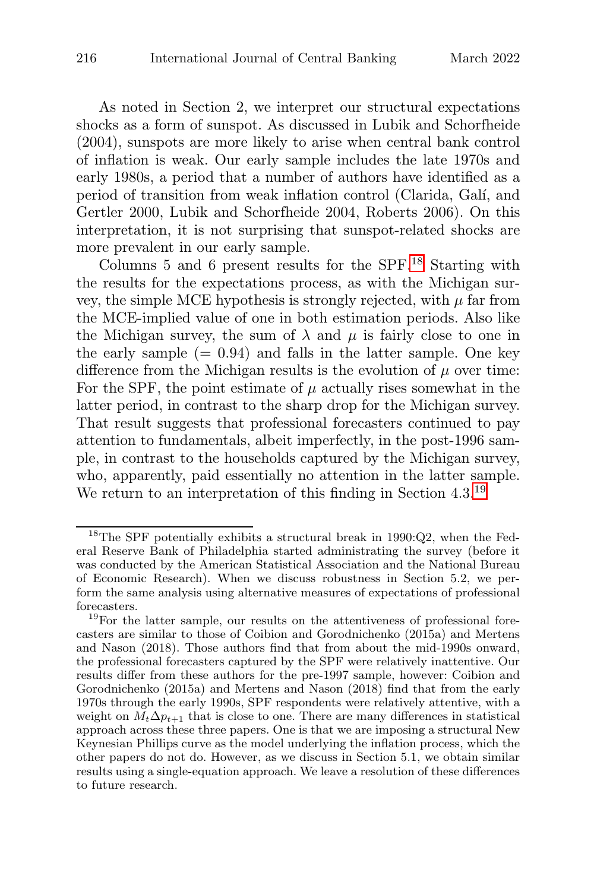As noted in Section 2, we interpret our structural expectations shocks as a form of sunspot. As discussed in Lubik and Schorfheide (2004), sunspots are more likely to arise when central bank control of inflation is weak. Our early sample includes the late 1970s and early 1980s, a period that a number of authors have identified as a period of transition from weak inflation control (Clarida, Galí, and Gertler 2000, Lubik and Schorfheide 2004, Roberts 2006). On this interpretation, it is not surprising that sunspot-related shocks are more prevalent in our early sample.

Columns  $5$  and  $6$  present results for the SPF.<sup>18</sup> Starting with the results for the expectations process, as with the Michigan survey, the simple MCE hypothesis is strongly rejected, with  $\mu$  far from the MCE-implied value of one in both estimation periods. Also like the Michigan survey, the sum of  $\lambda$  and  $\mu$  is fairly close to one in the early sample  $(= 0.94)$  and falls in the latter sample. One key difference from the Michigan results is the evolution of  $\mu$  over time: For the SPF, the point estimate of  $\mu$  actually rises somewhat in the latter period, in contrast to the sharp drop for the Michigan survey. That result suggests that professional forecasters continued to pay attention to fundamentals, albeit imperfectly, in the post-1996 sample, in contrast to the households captured by the Michigan survey, who, apparently, paid essentially no attention in the latter sample. We return to an interpretation of this finding in Section 4.3.<sup>19</sup>

 $18$ The SPF potentially exhibits a structural break in 1990:Q2, when the Federal Reserve Bank of Philadelphia started administrating the survey (before it was conducted by the American Statistical Association and the National Bureau of Economic Research). When we discuss robustness in Section 5.2, we perform the same analysis using alternative measures of expectations of professional

forecasters.  $19$ For the latter sample, our results on the attentiveness of professional forecasters are similar to those of Coibion and Gorodnichenko (2015a) and Mertens and Nason (2018). Those authors find that from about the mid-1990s onward, the professional forecasters captured by the SPF were relatively inattentive. Our results differ from these authors for the pre-1997 sample, however: Coibion and Gorodnichenko (2015a) and Mertens and Nason (2018) find that from the early 1970s through the early 1990s, SPF respondents were relatively attentive, with a weight on  $M_t \Delta p_{t+1}$  that is close to one. There are many differences in statistical approach across these three papers. One is that we are imposing a structural New Keynesian Phillips curve as the model underlying the inflation process, which the other papers do not do. However, as we discuss in Section 5.1, we obtain similar results using a single-equation approach. We leave a resolution of these differences to future research.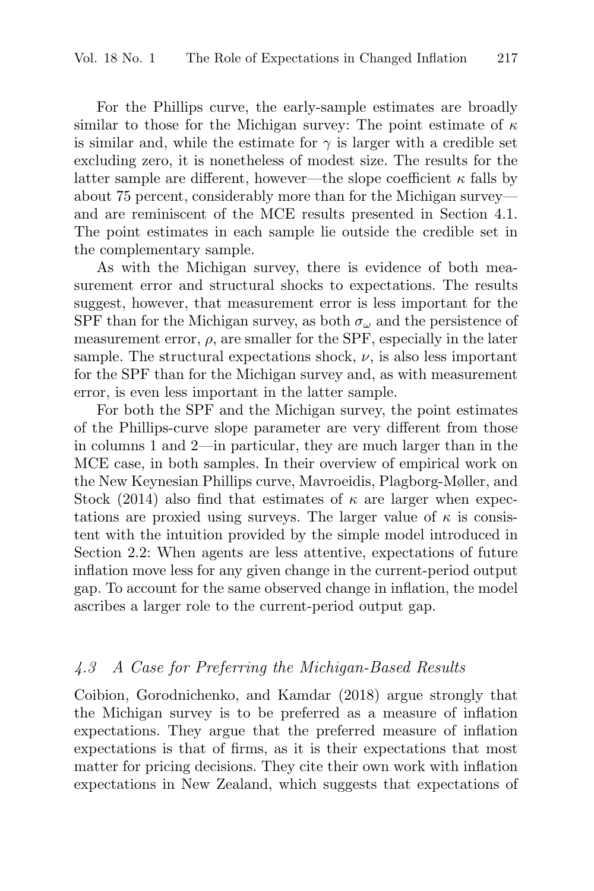For the Phillips curve, the early-sample estimates are broadly similar to those for the Michigan survey: The point estimate of  $\kappa$ is similar and, while the estimate for  $\gamma$  is larger with a credible set excluding zero, it is nonetheless of modest size. The results for the latter sample are different, however—the slope coefficient  $\kappa$  falls by about 75 percent, considerably more than for the Michigan survey and are reminiscent of the MCE results presented in Section 4.1. The point estimates in each sample lie outside the credible set in the complementary sample.

As with the Michigan survey, there is evidence of both measurement error and structural shocks to expectations. The results suggest, however, that measurement error is less important for the SPF than for the Michigan survey, as both  $\sigma_{\omega}$  and the persistence of measurement error,  $\rho$ , are smaller for the SPF, especially in the later sample. The structural expectations shock,  $\nu$ , is also less important for the SPF than for the Michigan survey and, as with measurement error, is even less important in the latter sample.

For both the SPF and the Michigan survey, the point estimates of the Phillips-curve slope parameter are very different from those in columns 1 and 2—in particular, they are much larger than in the MCE case, in both samples. In their overview of empirical work on the New Keynesian Phillips curve, Mavroeidis, Plagborg-Møller, and Stock (2014) also find that estimates of  $\kappa$  are larger when expectations are proxied using surveys. The larger value of  $\kappa$  is consistent with the intuition provided by the simple model introduced in Section 2.2: When agents are less attentive, expectations of future inflation move less for any given change in the current-period output gap. To account for the same observed change in inflation, the model ascribes a larger role to the current-period output gap.

# 4.3 A Case for Preferring the Michigan-Based Results

Coibion, Gorodnichenko, and Kamdar (2018) argue strongly that the Michigan survey is to be preferred as a measure of inflation expectations. They argue that the preferred measure of inflation expectations is that of firms, as it is their expectations that most matter for pricing decisions. They cite their own work with inflation expectations in New Zealand, which suggests that expectations of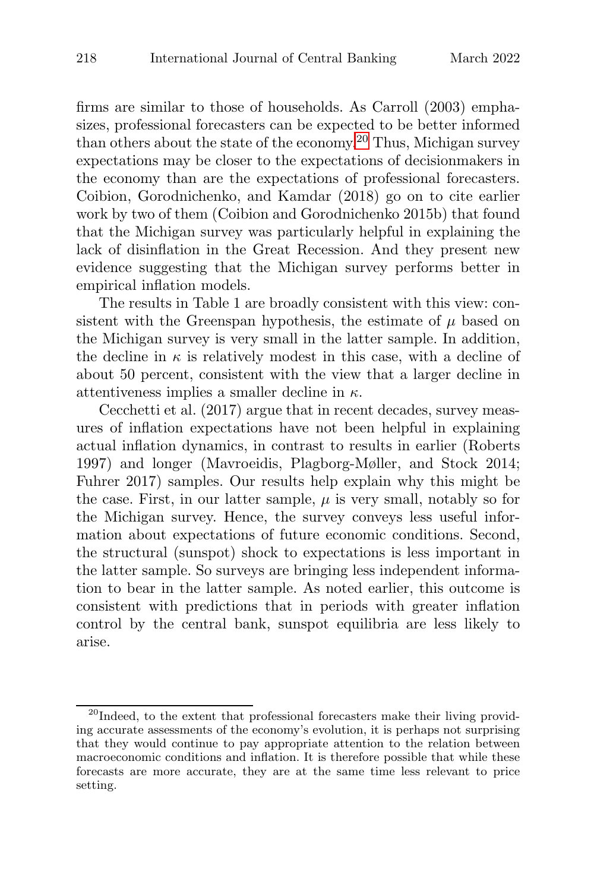firms are similar to those of households. As Carroll (2003) emphasizes, professional forecasters can be expected to be better informed than others about the state of the economy.<sup>20</sup> Thus, Michigan survey expectations may be closer to the expectations of decisionmakers in the economy than are the expectations of professional forecasters. Coibion, Gorodnichenko, and Kamdar (2018) go on to cite earlier work by two of them (Coibion and Gorodnichenko 2015b) that found that the Michigan survey was particularly helpful in explaining the lack of disinflation in the Great Recession. And they present new evidence suggesting that the Michigan survey performs better in empirical inflation models.

The results in Table 1 are broadly consistent with this view: consistent with the Greenspan hypothesis, the estimate of  $\mu$  based on the Michigan survey is very small in the latter sample. In addition, the decline in  $\kappa$  is relatively modest in this case, with a decline of about 50 percent, consistent with the view that a larger decline in attentiveness implies a smaller decline in  $\kappa$ .

Cecchetti et al. (2017) argue that in recent decades, survey measures of inflation expectations have not been helpful in explaining actual inflation dynamics, in contrast to results in earlier (Roberts 1997) and longer (Mavroeidis, Plagborg-Møller, and Stock 2014; Fuhrer 2017) samples. Our results help explain why this might be the case. First, in our latter sample,  $\mu$  is very small, notably so for the Michigan survey. Hence, the survey conveys less useful information about expectations of future economic conditions. Second, the structural (sunspot) shock to expectations is less important in the latter sample. So surveys are bringing less independent information to bear in the latter sample. As noted earlier, this outcome is consistent with predictions that in periods with greater inflation control by the central bank, sunspot equilibria are less likely to arise.

 $^{20}$ Indeed, to the extent that professional forecasters make their living providing accurate assessments of the economy's evolution, it is perhaps not surprising that they would continue to pay appropriate attention to the relation between macroeconomic conditions and inflation. It is therefore possible that while these forecasts are more accurate, they are at the same time less relevant to price setting.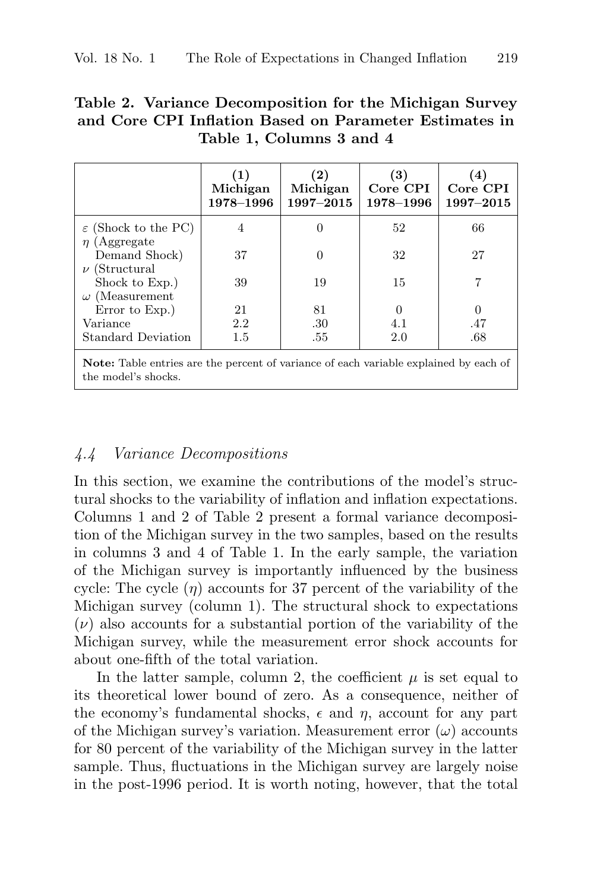|                                                                                              | (1)<br>Michigan<br>1978-1996 | $\mathbf{2}$<br>Michigan<br>1997-2015 | (3)<br>Core CPI<br>1978–1996 | (4)<br>Core CPI<br>1997-2015 |
|----------------------------------------------------------------------------------------------|------------------------------|---------------------------------------|------------------------------|------------------------------|
| $\varepsilon$ (Shock to the PC)                                                              | 4                            | 0                                     | 52                           | 66                           |
| $\eta$ (Aggregate                                                                            |                              |                                       |                              |                              |
| Demand Shock)                                                                                | 37                           | $\Omega$                              | 32                           | 27                           |
| $\nu$ (Structural                                                                            |                              |                                       |                              |                              |
| Shock to Exp.)                                                                               | 39                           | 19                                    | 15                           | 7                            |
| $\omega$ (Measurement                                                                        |                              |                                       |                              |                              |
| Error to Exp.)                                                                               | 21                           | 81                                    | $\Omega$                     | $\Omega$                     |
| Variance                                                                                     | 2.2                          | .30                                   | 4.1                          | .47                          |
| <b>Standard Deviation</b>                                                                    | 1.5                          | .55                                   | 2.0                          | .68                          |
| <b>Note:</b> Table entries are the percent of variance of each variable explained by each of |                              |                                       |                              |                              |

**Table 2. Variance Decomposition for the Michigan Survey and Core CPI Inflation Based on Parameter Estimates in Table 1, Columns 3 and 4**

# 4.4 Variance Decompositions

the model's shocks.

In this section, we examine the contributions of the model's structural shocks to the variability of inflation and inflation expectations. Columns 1 and 2 of Table 2 present a formal variance decomposition of the Michigan survey in the two samples, based on the results in columns 3 and 4 of Table 1. In the early sample, the variation of the Michigan survey is importantly influenced by the business cycle: The cycle  $(\eta)$  accounts for 37 percent of the variability of the Michigan survey (column 1). The structural shock to expectations  $(\nu)$  also accounts for a substantial portion of the variability of the Michigan survey, while the measurement error shock accounts for about one-fifth of the total variation.

In the latter sample, column 2, the coefficient  $\mu$  is set equal to its theoretical lower bound of zero. As a consequence, neither of the economy's fundamental shocks,  $\epsilon$  and  $\eta$ , account for any part of the Michigan survey's variation. Measurement error  $(\omega)$  accounts for 80 percent of the variability of the Michigan survey in the latter sample. Thus, fluctuations in the Michigan survey are largely noise in the post-1996 period. It is worth noting, however, that the total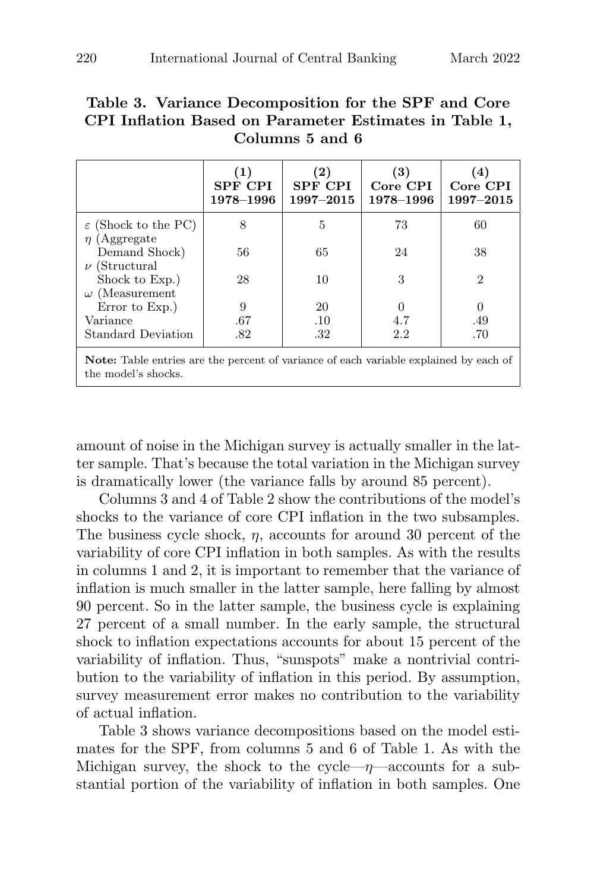|                                                                                                                     | (1)<br><b>SPF CPI</b><br>1978-1996 | $\mathbf{2)}$<br><b>SPF CPI</b><br>1997-2015 | (3)<br>Core CPI<br>1978-1996 | (4)<br>Core CPI<br>1997-2015 |
|---------------------------------------------------------------------------------------------------------------------|------------------------------------|----------------------------------------------|------------------------------|------------------------------|
| $\varepsilon$ (Shock to the PC)                                                                                     | 8                                  | 5                                            | 73                           | 60                           |
| $\eta$ (Aggregate                                                                                                   |                                    |                                              |                              |                              |
| Demand Shock)                                                                                                       | 56                                 | 65                                           | 24                           | 38                           |
| $\nu$ (Structural                                                                                                   |                                    |                                              |                              |                              |
| Shock to Exp.)                                                                                                      | 28                                 | 10                                           | 3                            | $\overline{2}$               |
| $\omega$ (Measurement                                                                                               |                                    |                                              |                              |                              |
| Error to Exp.)                                                                                                      | 9                                  | 20                                           |                              | 0                            |
| Variance                                                                                                            | .67                                | .10                                          | 4.7                          | .49                          |
| Standard Deviation                                                                                                  | .82                                | .32                                          | 2.2                          | .70                          |
| <b>Note:</b> Table entries are the percent of variance of each variable explained by each of<br>the model's shocks. |                                    |                                              |                              |                              |

# **Table 3. Variance Decomposition for the SPF and Core CPI Inflation Based on Parameter Estimates in Table 1, Columns 5 and 6**

amount of noise in the Michigan survey is actually smaller in the latter sample. That's because the total variation in the Michigan survey is dramatically lower (the variance falls by around 85 percent).

Columns 3 and 4 of Table 2 show the contributions of the model's shocks to the variance of core CPI inflation in the two subsamples. The business cycle shock,  $\eta$ , accounts for around 30 percent of the variability of core CPI inflation in both samples. As with the results in columns 1 and 2, it is important to remember that the variance of inflation is much smaller in the latter sample, here falling by almost 90 percent. So in the latter sample, the business cycle is explaining 27 percent of a small number. In the early sample, the structural shock to inflation expectations accounts for about 15 percent of the variability of inflation. Thus, "sunspots" make a nontrivial contribution to the variability of inflation in this period. By assumption, survey measurement error makes no contribution to the variability of actual inflation.

Table 3 shows variance decompositions based on the model estimates for the SPF, from columns 5 and 6 of Table 1. As with the Michigan survey, the shock to the cycle— $\eta$ —accounts for a substantial portion of the variability of inflation in both samples. One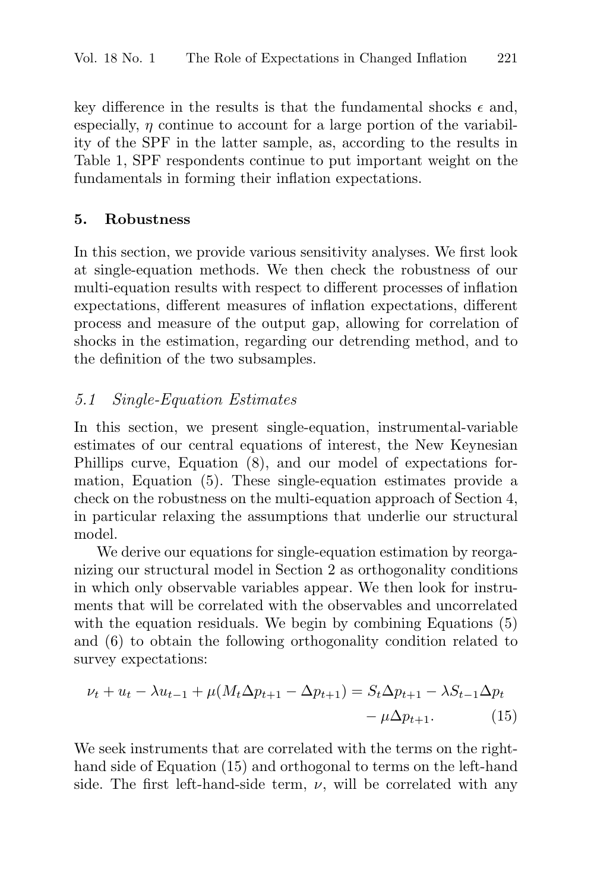key difference in the results is that the fundamental shocks  $\epsilon$  and, especially,  $\eta$  continue to account for a large portion of the variability of the SPF in the latter sample, as, according to the results in Table 1, SPF respondents continue to put important weight on the fundamentals in forming their inflation expectations.

## **5. Robustness**

In this section, we provide various sensitivity analyses. We first look at single-equation methods. We then check the robustness of our multi-equation results with respect to different processes of inflation expectations, different measures of inflation expectations, different process and measure of the output gap, allowing for correlation of shocks in the estimation, regarding our detrending method, and to the definition of the two subsamples.

# 5.1 Single-Equation Estimates

In this section, we present single-equation, instrumental-variable estimates of our central equations of interest, the New Keynesian Phillips curve, Equation (8), and our model of expectations formation, Equation (5). These single-equation estimates provide a check on the robustness on the multi-equation approach of Section 4, in particular relaxing the assumptions that underlie our structural model.

We derive our equations for single-equation estimation by reorganizing our structural model in Section 2 as orthogonality conditions in which only observable variables appear. We then look for instruments that will be correlated with the observables and uncorrelated with the equation residuals. We begin by combining Equations (5) and (6) to obtain the following orthogonality condition related to survey expectations:

$$
\nu_t + u_t - \lambda u_{t-1} + \mu (M_t \Delta p_{t+1} - \Delta p_{t+1}) = S_t \Delta p_{t+1} - \lambda S_{t-1} \Delta p_t - \mu \Delta p_{t+1}.
$$
 (15)

We seek instruments that are correlated with the terms on the righthand side of Equation (15) and orthogonal to terms on the left-hand side. The first left-hand-side term,  $\nu$ , will be correlated with any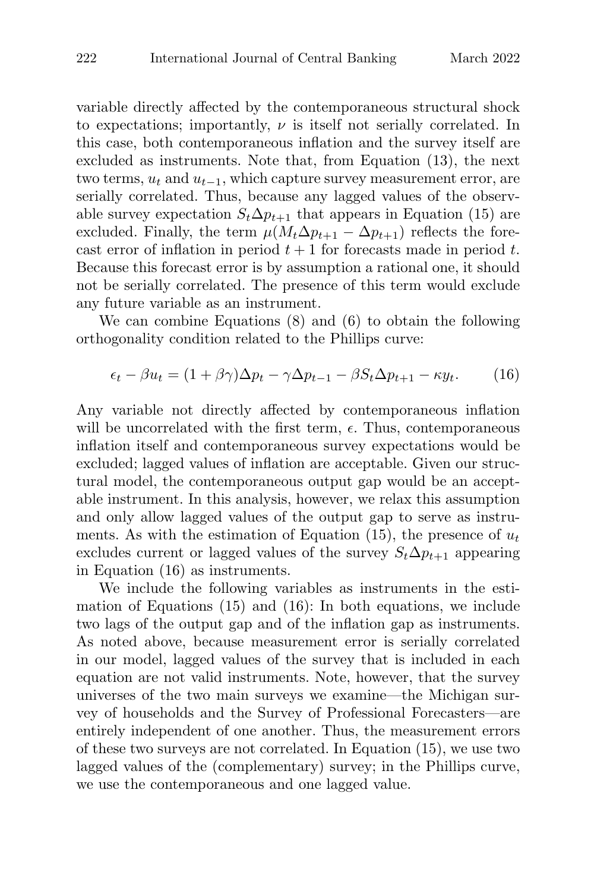variable directly affected by the contemporaneous structural shock to expectations; importantly,  $\nu$  is itself not serially correlated. In this case, both contemporaneous inflation and the survey itself are excluded as instruments. Note that, from Equation (13), the next two terms,  $u_t$  and  $u_{t-1}$ , which capture survey measurement error, are serially correlated. Thus, because any lagged values of the observable survey expectation  $S_t \Delta p_{t+1}$  that appears in Equation (15) are excluded. Finally, the term  $\mu(M_t\Delta p_{t+1} - \Delta p_{t+1})$  reflects the forecast error of inflation in period  $t + 1$  for forecasts made in period t. Because this forecast error is by assumption a rational one, it should not be serially correlated. The presence of this term would exclude any future variable as an instrument.

We can combine Equations (8) and (6) to obtain the following orthogonality condition related to the Phillips curve:

$$
\epsilon_t - \beta u_t = (1 + \beta \gamma) \Delta p_t - \gamma \Delta p_{t-1} - \beta S_t \Delta p_{t+1} - \kappa y_t. \tag{16}
$$

Any variable not directly affected by contemporaneous inflation will be uncorrelated with the first term,  $\epsilon$ . Thus, contemporaneous inflation itself and contemporaneous survey expectations would be excluded; lagged values of inflation are acceptable. Given our structural model, the contemporaneous output gap would be an acceptable instrument. In this analysis, however, we relax this assumption and only allow lagged values of the output gap to serve as instruments. As with the estimation of Equation (15), the presence of  $u_t$ excludes current or lagged values of the survey  $S_t \Delta p_{t+1}$  appearing in Equation (16) as instruments.

We include the following variables as instruments in the estimation of Equations (15) and (16): In both equations, we include two lags of the output gap and of the inflation gap as instruments. As noted above, because measurement error is serially correlated in our model, lagged values of the survey that is included in each equation are not valid instruments. Note, however, that the survey universes of the two main surveys we examine—the Michigan survey of households and the Survey of Professional Forecasters—are entirely independent of one another. Thus, the measurement errors of these two surveys are not correlated. In Equation (15), we use two lagged values of the (complementary) survey; in the Phillips curve, we use the contemporaneous and one lagged value.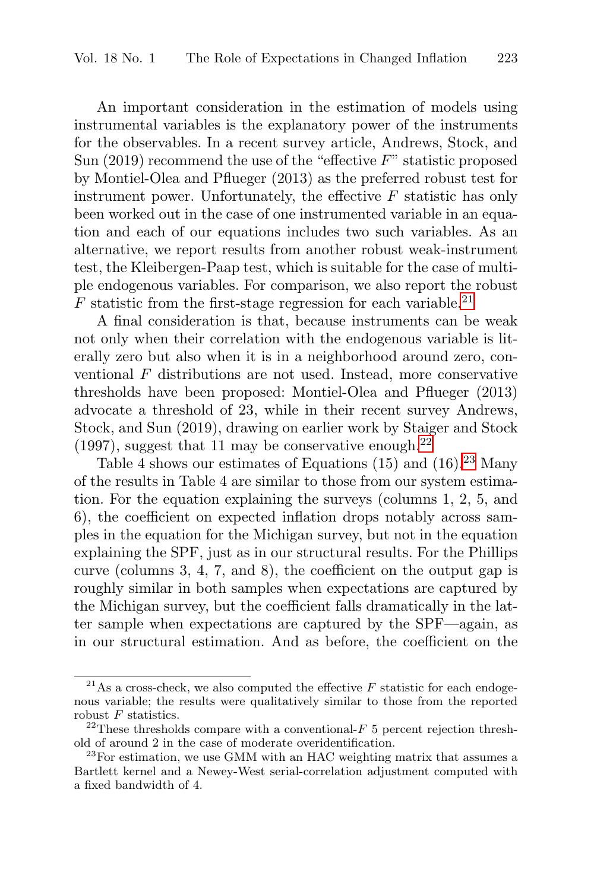An important consideration in the estimation of models using instrumental variables is the explanatory power of the instruments for the observables. In a recent survey article, Andrews, Stock, and Sun  $(2019)$  recommend the use of the "effective  $F$ " statistic proposed by Montiel-Olea and Pflueger (2013) as the preferred robust test for instrument power. Unfortunately, the effective  $F$  statistic has only been worked out in the case of one instrumented variable in an equation and each of our equations includes two such variables. As an alternative, we report results from another robust weak-instrument test, the Kleibergen-Paap test, which is suitable for the case of multiple endogenous variables. For comparison, we also report the robust  $F$  statistic from the first-stage regression for each variable.<sup>21</sup>

A final consideration is that, because instruments can be weak not only when their correlation with the endogenous variable is literally zero but also when it is in a neighborhood around zero, conventional F distributions are not used. Instead, more conservative thresholds have been proposed: Montiel-Olea and Pflueger (2013) advocate a threshold of 23, while in their recent survey Andrews, Stock, and Sun (2019), drawing on earlier work by Staiger and Stock (1997), suggest that 11 may be conservative enough.<sup>22</sup>

Table 4 shows our estimates of Equations  $(15)$  and  $(16)$ <sup>23</sup> Many of the results in Table 4 are similar to those from our system estimation. For the equation explaining the surveys (columns 1, 2, 5, and 6), the coefficient on expected inflation drops notably across samples in the equation for the Michigan survey, but not in the equation explaining the SPF, just as in our structural results. For the Phillips curve (columns 3, 4, 7, and 8), the coefficient on the output gap is roughly similar in both samples when expectations are captured by the Michigan survey, but the coefficient falls dramatically in the latter sample when expectations are captured by the SPF—again, as in our structural estimation. And as before, the coefficient on the

<sup>&</sup>lt;sup>21</sup>As a cross-check, we also computed the effective  $F$  statistic for each endogenous variable; the results were qualitatively similar to those from the reported robust F statistics.<br><sup>22</sup>These thresholds compare with a conventional-F 5 percent rejection thresh-

old of around 2 in the case of moderate overidentification.<br><sup>23</sup>For estimation, we use GMM with an HAC weighting matrix that assumes a

Bartlett kernel and a Newey-West serial-correlation adjustment computed with a fixed bandwidth of 4.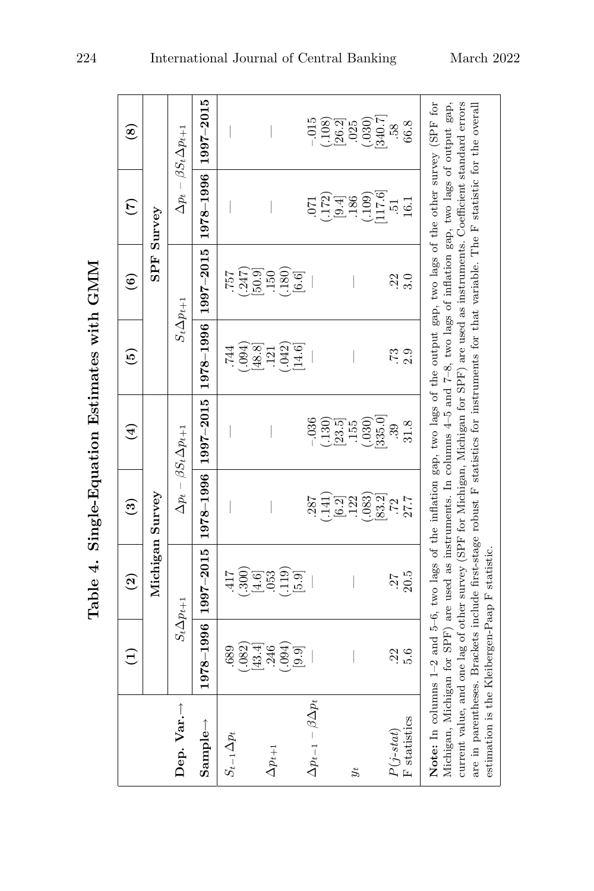| í                         |  |
|---------------------------|--|
| ۱<br>I<br>֧֚֞֝֬<br>I<br>i |  |
| i                         |  |

|                                                                                                                                                                                                                                                                                                                                                                                                                                                                                                                                                                                                           | $\widehat{E}$                                      | $\widehat{c}$       | $\widehat{S}$                                                                                                                                                                                                                                                                                                                          | $\bigoplus$                                   | $\mathbf{e}$                                            | $\widehat{\mathbf{e}}$ | $\widetilde{L}$                                                                              | $\overset{\circ}{(8)}$                                                                              |
|-----------------------------------------------------------------------------------------------------------------------------------------------------------------------------------------------------------------------------------------------------------------------------------------------------------------------------------------------------------------------------------------------------------------------------------------------------------------------------------------------------------------------------------------------------------------------------------------------------------|----------------------------------------------------|---------------------|----------------------------------------------------------------------------------------------------------------------------------------------------------------------------------------------------------------------------------------------------------------------------------------------------------------------------------------|-----------------------------------------------|---------------------------------------------------------|------------------------|----------------------------------------------------------------------------------------------|-----------------------------------------------------------------------------------------------------|
|                                                                                                                                                                                                                                                                                                                                                                                                                                                                                                                                                                                                           |                                                    | Michigan Survey     |                                                                                                                                                                                                                                                                                                                                        |                                               |                                                         | <b>SPF Survey</b>      |                                                                                              |                                                                                                     |
| Dep. Var.→                                                                                                                                                                                                                                                                                                                                                                                                                                                                                                                                                                                                |                                                    | $S_t\Delta p_{t+1}$ | $\Delta p_t - \beta S_t \Delta p_{t+1}$                                                                                                                                                                                                                                                                                                |                                               | $S_t\Delta p_{t+1}$                                     |                        | $\Delta p_t - \beta S_t \Delta p_{t+1}$                                                      |                                                                                                     |
| $Sample \rightarrow$                                                                                                                                                                                                                                                                                                                                                                                                                                                                                                                                                                                      | 1978-1996                                          | $1997 - 2015$       |                                                                                                                                                                                                                                                                                                                                        | $1978 - 1996$ 1997 - 2015                     | 1978-1996                                               | $1997 - 2015$          | $1978 - 1996$                                                                                | $1997 - 2015$                                                                                       |
| $S_{t-1}\Delta p_t$                                                                                                                                                                                                                                                                                                                                                                                                                                                                                                                                                                                       | .689                                               | 417                 |                                                                                                                                                                                                                                                                                                                                        |                                               | 744                                                     | 757                    |                                                                                              |                                                                                                     |
| $\Delta p_{t+1}$                                                                                                                                                                                                                                                                                                                                                                                                                                                                                                                                                                                          | $(382)$<br>$(43.46)$<br>$(94)$<br>$(99)$<br>$(99)$ |                     |                                                                                                                                                                                                                                                                                                                                        |                                               | $(18.8)$<br>$(48.8)$<br>$(121)$<br>$(14.6)$<br>$(14.6)$ |                        |                                                                                              |                                                                                                     |
| $\Delta p_{t-1} - \beta \Delta p_t$                                                                                                                                                                                                                                                                                                                                                                                                                                                                                                                                                                       |                                                    |                     | 287                                                                                                                                                                                                                                                                                                                                    | $-0.36$                                       |                                                         |                        | 170                                                                                          | .015                                                                                                |
| z                                                                                                                                                                                                                                                                                                                                                                                                                                                                                                                                                                                                         |                                                    |                     | $\begin{array}{l} 141 \\[-4pt] 192 \\[-4pt] 193 \\[-4pt] 193 \\[-4pt] 193 \\[-4pt] 193 \\[-4pt] 193 \\[-4pt] 193 \\[-4pt] 193 \\[-4pt] 193 \\[-4pt] 193 \\[-4pt] 193 \\[-4pt] 193 \\[-4pt] 193 \\[-4pt] 193 \\[-4pt] 193 \\[-4pt] 193 \\[-4pt] 193 \\[-4pt] 193 \\[-4pt] 193 \\[-4pt] 193 \\[-4pt] 193 \\[-4pt] 193 \\[-4pt] 193 \\[-$ | $(030)$<br>$[335.0]$<br>$\frac{(130)}{23.55}$ |                                                         |                        | $\begin{array}{c} (172)\\[-4pt] [9.4]\\[-4pt] 186\\[-4pt] 117.6]\\[-4pt] 117.6] \end{array}$ | $\begin{array}{l} (108) \\ (26.2) \\ (23.3) \\ (32.4) \\ (34.5) \\ (34.5) \\ (34.5) \\ \end{array}$ |
| statistics<br>$P(j\text{-}stat)$<br>Ĺ.                                                                                                                                                                                                                                                                                                                                                                                                                                                                                                                                                                    | $\frac{22}{5.6}$                                   | 20.5<br>.27         | 27.7                                                                                                                                                                                                                                                                                                                                   | 31.8<br>39                                    | 73<br>2.9                                               | .22<br>3.0             | 16.1                                                                                         | 66.8                                                                                                |
| current value, and one lag of other survey (SPF for Michigan, Michigan for SPF) are used as instruments. Coefficient standard errors<br>Note: In columns 1-2 and 5-6, two lags of the inflation gap, two lags of the output gap, two lags of the other survey (SPF for<br>Michigan, Michigan for SPF) are used as instruments. In columns 4-5 and $7-8$ , two lags of inflation gap, two lags of output gap,<br>are in parentheses. Brackets include first-stage robust F statistics for instruments for that variable. The F statistic for the overall<br>estimation is the Kleibergen-Paap F statistic. |                                                    |                     |                                                                                                                                                                                                                                                                                                                                        |                                               |                                                         |                        |                                                                                              |                                                                                                     |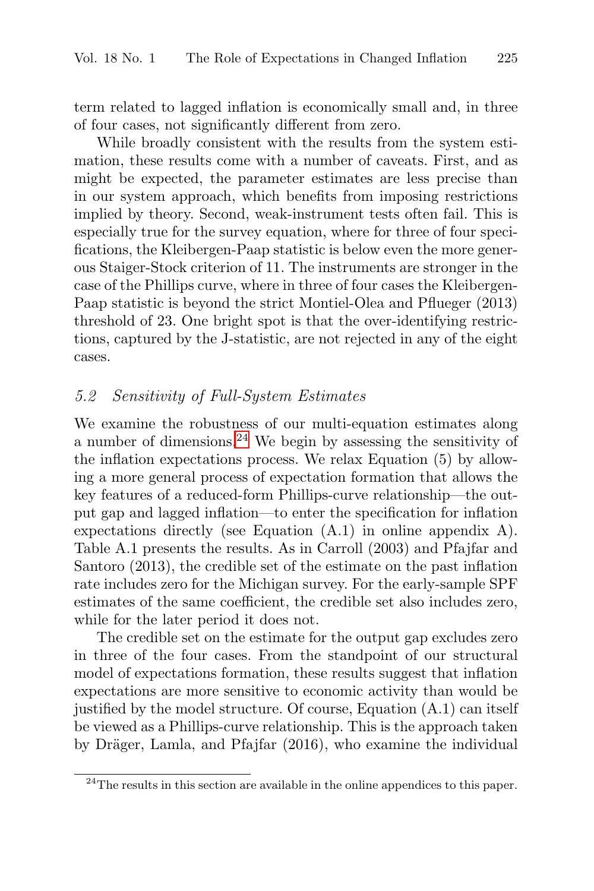term related to lagged inflation is economically small and, in three of four cases, not significantly different from zero.

While broadly consistent with the results from the system estimation, these results come with a number of caveats. First, and as might be expected, the parameter estimates are less precise than in our system approach, which benefits from imposing restrictions implied by theory. Second, weak-instrument tests often fail. This is especially true for the survey equation, where for three of four specifications, the Kleibergen-Paap statistic is below even the more generous Staiger-Stock criterion of 11. The instruments are stronger in the case of the Phillips curve, where in three of four cases the Kleibergen-Paap statistic is beyond the strict Montiel-Olea and Pflueger (2013) threshold of 23. One bright spot is that the over-identifying restrictions, captured by the J-statistic, are not rejected in any of the eight cases.

# 5.2 Sensitivity of Full-System Estimates

We examine the robustness of our multi-equation estimates along a number of dimensions.<sup>24</sup> We begin by assessing the sensitivity of the inflation expectations process. We relax Equation (5) by allowing a more general process of expectation formation that allows the key features of a reduced-form Phillips-curve relationship—the output gap and lagged inflation—to enter the specification for inflation expectations directly (see Equation (A.1) in online appendix A). Table A.1 presents the results. As in Carroll (2003) and Pfajfar and Santoro (2013), the credible set of the estimate on the past inflation rate includes zero for the Michigan survey. For the early-sample SPF estimates of the same coefficient, the credible set also includes zero, while for the later period it does not.

The credible set on the estimate for the output gap excludes zero in three of the four cases. From the standpoint of our structural model of expectations formation, these results suggest that inflation expectations are more sensitive to economic activity than would be justified by the model structure. Of course, Equation (A.1) can itself be viewed as a Phillips-curve relationship. This is the approach taken by Dräger, Lamla, and Pfajfar (2016), who examine the individual

<sup>&</sup>lt;sup>24</sup>The results in this section are available in the online appendices to this paper.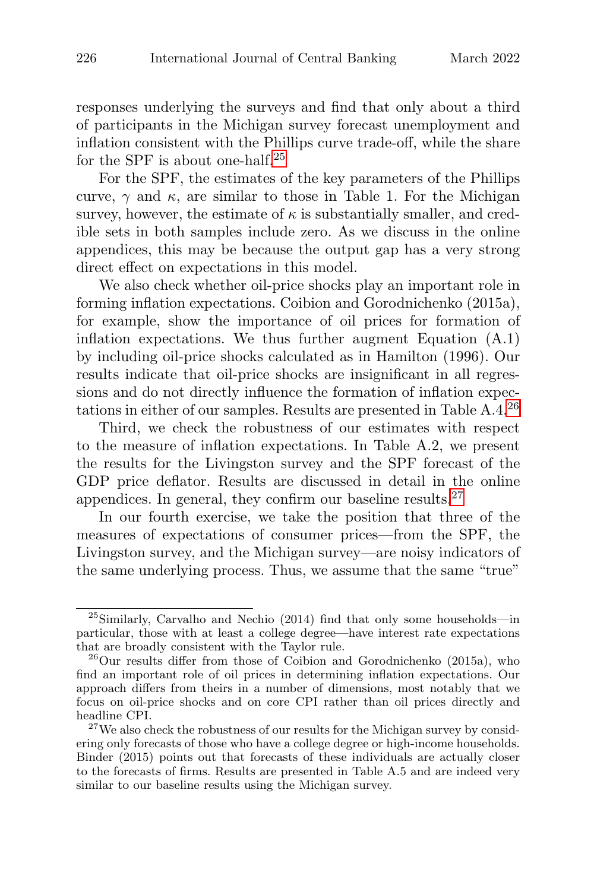responses underlying the surveys and find that only about a third of participants in the Michigan survey forecast unemployment and inflation consistent with the Phillips curve trade-off, while the share for the SPF is about one-half.<sup>25</sup>

For the SPF, the estimates of the key parameters of the Phillips curve,  $\gamma$  and  $\kappa$ , are similar to those in Table 1. For the Michigan survey, however, the estimate of  $\kappa$  is substantially smaller, and credible sets in both samples include zero. As we discuss in the online appendices, this may be because the output gap has a very strong direct effect on expectations in this model.

We also check whether oil-price shocks play an important role in forming inflation expectations. Coibion and Gorodnichenko (2015a), for example, show the importance of oil prices for formation of inflation expectations. We thus further augment Equation (A.1) by including oil-price shocks calculated as in Hamilton (1996). Our results indicate that oil-price shocks are insignificant in all regressions and do not directly influence the formation of inflation expectations in either of our samples. Results are presented in Table A.4.<sup>26</sup>

Third, we check the robustness of our estimates with respect to the measure of inflation expectations. In Table A.2, we present the results for the Livingston survey and the SPF forecast of the GDP price deflator. Results are discussed in detail in the online appendices. In general, they confirm our baseline results.<sup>27</sup>

In our fourth exercise, we take the position that three of the measures of expectations of consumer prices—from the SPF, the Livingston survey, and the Michigan survey—are noisy indicators of the same underlying process. Thus, we assume that the same "true"

<sup>25</sup>Similarly, Carvalho and Nechio (2014) find that only some households—in particular, those with at least a college degree—have interest rate expectations that are broadly consistent with the Taylor rule.<br><sup>26</sup>Our results differ from those of Coibion and Gorodnichenko (2015a), who

find an important role of oil prices in determining inflation expectations. Our approach differs from theirs in a number of dimensions, most notably that we focus on oil-price shocks and on core CPI rather than oil prices directly and headline CPI.  $27$ We also check the robustness of our results for the Michigan survey by consid-

ering only forecasts of those who have a college degree or high-income households. Binder (2015) points out that forecasts of these individuals are actually closer to the forecasts of firms. Results are presented in Table A.5 and are indeed very similar to our baseline results using the Michigan survey.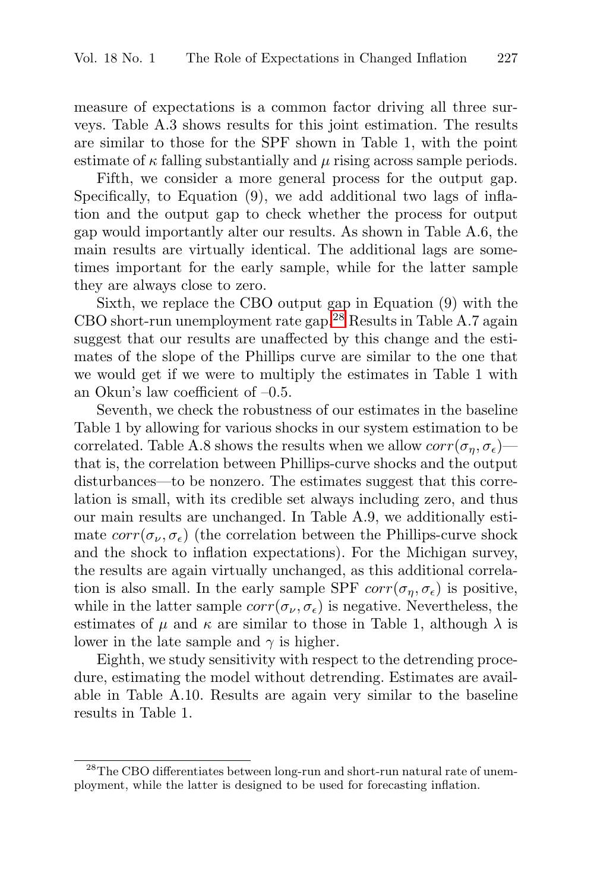measure of expectations is a common factor driving all three surveys. Table A.3 shows results for this joint estimation. The results are similar to those for the SPF shown in Table 1, with the point estimate of  $\kappa$  falling substantially and  $\mu$  rising across sample periods.

Fifth, we consider a more general process for the output gap. Specifically, to Equation (9), we add additional two lags of inflation and the output gap to check whether the process for output gap would importantly alter our results. As shown in Table A.6, the main results are virtually identical. The additional lags are sometimes important for the early sample, while for the latter sample they are always close to zero.

Sixth, we replace the CBO output gap in Equation (9) with the CBO short-run unemployment rate gap.<sup>28</sup> Results in Table A.7 again suggest that our results are unaffected by this change and the estimates of the slope of the Phillips curve are similar to the one that we would get if we were to multiply the estimates in Table 1 with an Okun's law coefficient of –0.5.

Seventh, we check the robustness of our estimates in the baseline Table 1 by allowing for various shocks in our system estimation to be correlated. Table A.8 shows the results when we allow  $corr(\sigma_n, \sigma_{\epsilon})$  that is, the correlation between Phillips-curve shocks and the output disturbances—to be nonzero. The estimates suggest that this correlation is small, with its credible set always including zero, and thus our main results are unchanged. In Table A.9, we additionally estimate  $corr(\sigma_{\nu}, \sigma_{\epsilon})$  (the correlation between the Phillips-curve shock and the shock to inflation expectations). For the Michigan survey, the results are again virtually unchanged, as this additional correlation is also small. In the early sample SPF  $corr(\sigma_{\eta}, \sigma_{\epsilon})$  is positive, while in the latter sample  $corr(\sigma_{\nu}, \sigma_{\epsilon})$  is negative. Nevertheless, the estimates of  $\mu$  and  $\kappa$  are similar to those in Table 1, although  $\lambda$  is lower in the late sample and  $\gamma$  is higher.

Eighth, we study sensitivity with respect to the detrending procedure, estimating the model without detrending. Estimates are available in Table A.10. Results are again very similar to the baseline results in Table 1.

<sup>&</sup>lt;sup>28</sup>The CBO differentiates between long-run and short-run natural rate of unemployment, while the latter is designed to be used for forecasting inflation.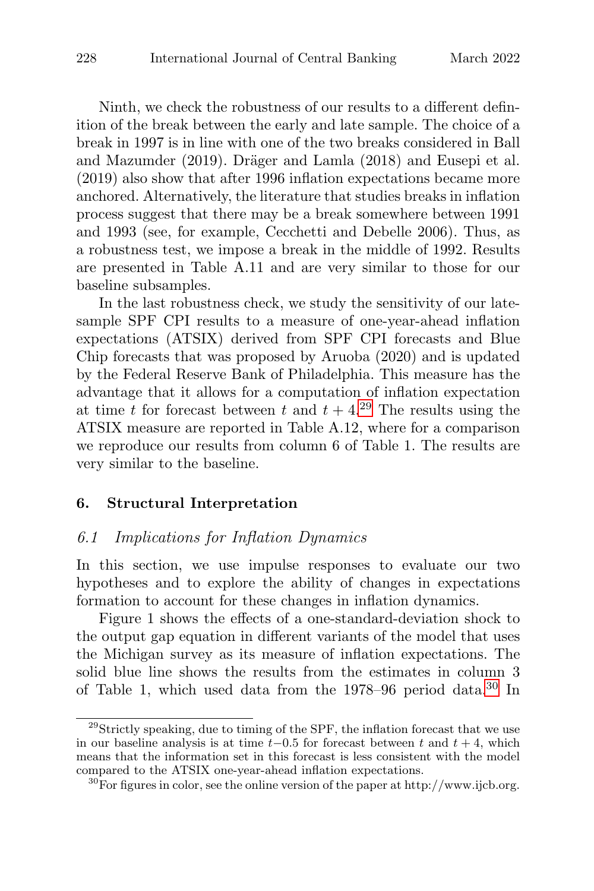Ninth, we check the robustness of our results to a different definition of the break between the early and late sample. The choice of a break in 1997 is in line with one of the two breaks considered in Ball and Mazumder (2019). Dräger and Lamla (2018) and Eusepi et al. (2019) also show that after 1996 inflation expectations became more anchored. Alternatively, the literature that studies breaks in inflation process suggest that there may be a break somewhere between 1991 and 1993 (see, for example, Cecchetti and Debelle 2006). Thus, as a robustness test, we impose a break in the middle of 1992. Results are presented in Table A.11 and are very similar to those for our baseline subsamples.

In the last robustness check, we study the sensitivity of our latesample SPF CPI results to a measure of one-year-ahead inflation expectations (ATSIX) derived from SPF CPI forecasts and Blue Chip forecasts that was proposed by Aruoba (2020) and is updated by the Federal Reserve Bank of Philadelphia. This measure has the advantage that it allows for a computation of inflation expectation at time t for forecast between t and  $t + 4^{29}$  The results using the ATSIX measure are reported in Table A.12, where for a comparison we reproduce our results from column 6 of Table 1. The results are very similar to the baseline.

#### **6. Structural Interpretation**

## 6.1 Implications for Inflation Dynamics

In this section, we use impulse responses to evaluate our two hypotheses and to explore the ability of changes in expectations formation to account for these changes in inflation dynamics.

Figure 1 shows the effects of a one-standard-deviation shock to the output gap equation in different variants of the model that uses the Michigan survey as its measure of inflation expectations. The solid blue line shows the results from the estimates in column 3 of Table 1, which used data from the 1978–96 period data.<sup>30</sup> In

 $29$ Strictly speaking, due to timing of the SPF, the inflation forecast that we use in our baseline analysis is at time  $t-0.5$  for forecast between t and  $t+4$ , which means that the information set in this forecast is less consistent with the model compared to the ATSIX one-year-ahead inflation expectations.<br><sup>30</sup>For figures in color, see the online version of the paper at http://www.ijcb.org.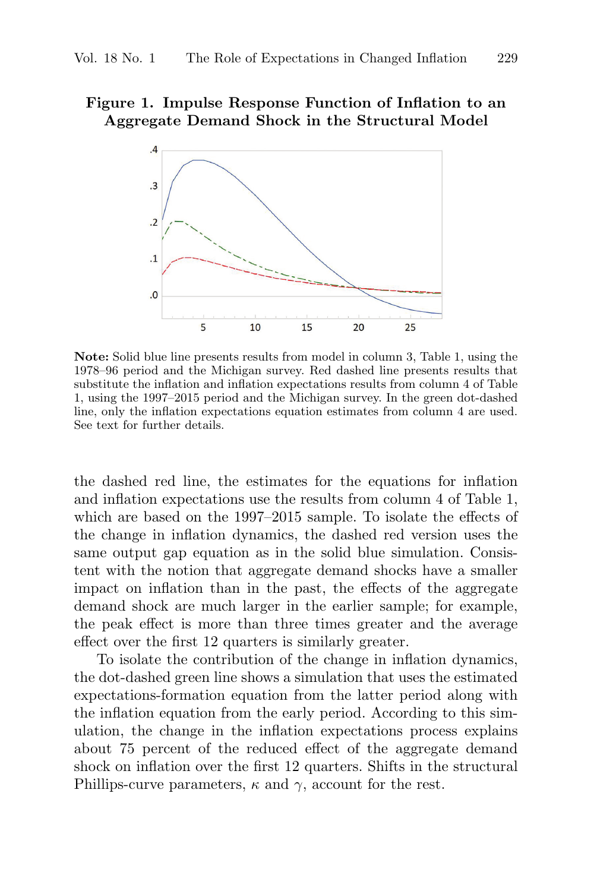## **Figure 1. Impulse Response Function of Inflation to an Aggregate Demand Shock in the Structural Model**



**Note:** Solid blue line presents results from model in column 3, Table 1, using the 1978–96 period and the Michigan survey. Red dashed line presents results that substitute the inflation and inflation expectations results from column 4 of Table 1, using the 1997–2015 period and the Michigan survey. In the green dot-dashed line, only the inflation expectations equation estimates from column 4 are used. See text for further details.

the dashed red line, the estimates for the equations for inflation and inflation expectations use the results from column 4 of Table 1, which are based on the 1997–2015 sample. To isolate the effects of the change in inflation dynamics, the dashed red version uses the same output gap equation as in the solid blue simulation. Consistent with the notion that aggregate demand shocks have a smaller impact on inflation than in the past, the effects of the aggregate demand shock are much larger in the earlier sample; for example, the peak effect is more than three times greater and the average effect over the first 12 quarters is similarly greater.

To isolate the contribution of the change in inflation dynamics, the dot-dashed green line shows a simulation that uses the estimated expectations-formation equation from the latter period along with the inflation equation from the early period. According to this simulation, the change in the inflation expectations process explains about 75 percent of the reduced effect of the aggregate demand shock on inflation over the first 12 quarters. Shifts in the structural Phillips-curve parameters,  $\kappa$  and  $\gamma$ , account for the rest.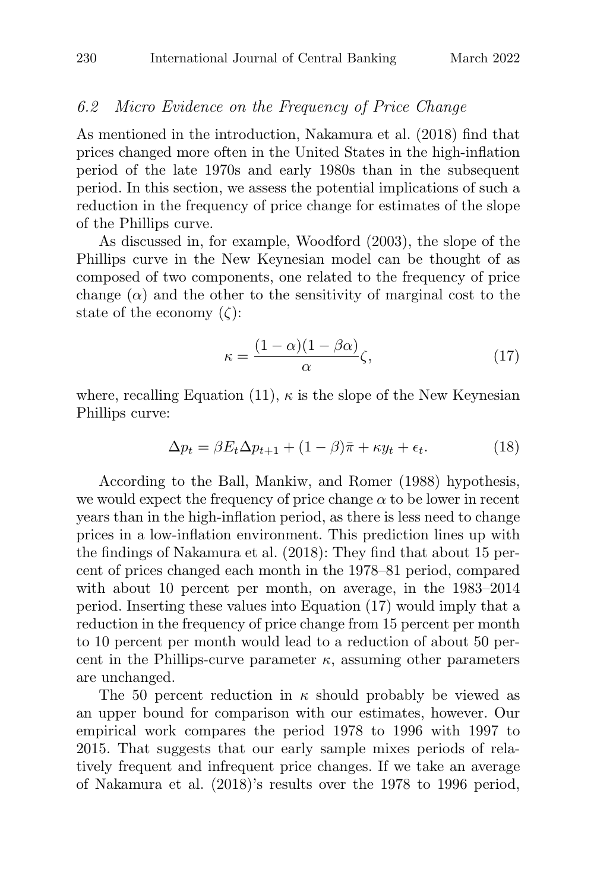# 6.2 Micro Evidence on the Frequency of Price Change

As mentioned in the introduction, Nakamura et al. (2018) find that prices changed more often in the United States in the high-inflation period of the late 1970s and early 1980s than in the subsequent period. In this section, we assess the potential implications of such a reduction in the frequency of price change for estimates of the slope of the Phillips curve.

As discussed in, for example, Woodford (2003), the slope of the Phillips curve in the New Keynesian model can be thought of as composed of two components, one related to the frequency of price change  $(\alpha)$  and the other to the sensitivity of marginal cost to the state of the economy  $(\zeta)$ :

$$
\kappa = \frac{(1 - \alpha)(1 - \beta \alpha)}{\alpha} \zeta,\tag{17}
$$

where, recalling Equation (11),  $\kappa$  is the slope of the New Keynesian Phillips curve:

$$
\Delta p_t = \beta E_t \Delta p_{t+1} + (1 - \beta)\bar{\pi} + \kappa y_t + \epsilon_t.
$$
 (18)

According to the Ball, Mankiw, and Romer (1988) hypothesis, we would expect the frequency of price change  $\alpha$  to be lower in recent years than in the high-inflation period, as there is less need to change prices in a low-inflation environment. This prediction lines up with the findings of Nakamura et al. (2018): They find that about 15 percent of prices changed each month in the 1978–81 period, compared with about 10 percent per month, on average, in the 1983–2014 period. Inserting these values into Equation (17) would imply that a reduction in the frequency of price change from 15 percent per month to 10 percent per month would lead to a reduction of about 50 percent in the Phillips-curve parameter  $\kappa$ , assuming other parameters are unchanged.

The 50 percent reduction in  $\kappa$  should probably be viewed as an upper bound for comparison with our estimates, however. Our empirical work compares the period 1978 to 1996 with 1997 to 2015. That suggests that our early sample mixes periods of relatively frequent and infrequent price changes. If we take an average of Nakamura et al. (2018)'s results over the 1978 to 1996 period,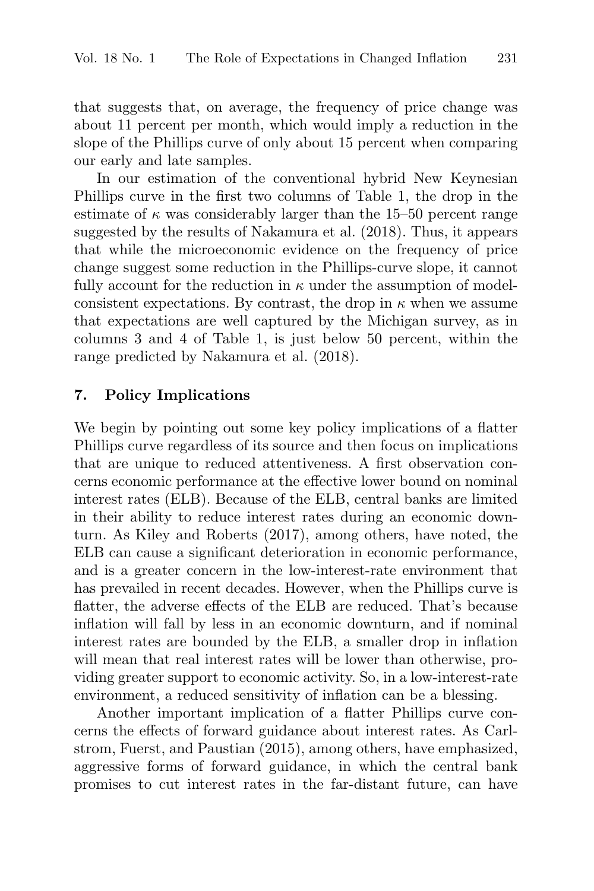that suggests that, on average, the frequency of price change was about 11 percent per month, which would imply a reduction in the slope of the Phillips curve of only about 15 percent when comparing our early and late samples.

In our estimation of the conventional hybrid New Keynesian Phillips curve in the first two columns of Table 1, the drop in the estimate of  $\kappa$  was considerably larger than the 15–50 percent range suggested by the results of Nakamura et al. (2018). Thus, it appears that while the microeconomic evidence on the frequency of price change suggest some reduction in the Phillips-curve slope, it cannot fully account for the reduction in  $\kappa$  under the assumption of modelconsistent expectations. By contrast, the drop in  $\kappa$  when we assume that expectations are well captured by the Michigan survey, as in columns 3 and 4 of Table 1, is just below 50 percent, within the range predicted by Nakamura et al. (2018).

## **7. Policy Implications**

We begin by pointing out some key policy implications of a flatter Phillips curve regardless of its source and then focus on implications that are unique to reduced attentiveness. A first observation concerns economic performance at the effective lower bound on nominal interest rates (ELB). Because of the ELB, central banks are limited in their ability to reduce interest rates during an economic downturn. As Kiley and Roberts (2017), among others, have noted, the ELB can cause a significant deterioration in economic performance, and is a greater concern in the low-interest-rate environment that has prevailed in recent decades. However, when the Phillips curve is flatter, the adverse effects of the ELB are reduced. That's because inflation will fall by less in an economic downturn, and if nominal interest rates are bounded by the ELB, a smaller drop in inflation will mean that real interest rates will be lower than otherwise, providing greater support to economic activity. So, in a low-interest-rate environment, a reduced sensitivity of inflation can be a blessing.

Another important implication of a flatter Phillips curve concerns the effects of forward guidance about interest rates. As Carlstrom, Fuerst, and Paustian (2015), among others, have emphasized, aggressive forms of forward guidance, in which the central bank promises to cut interest rates in the far-distant future, can have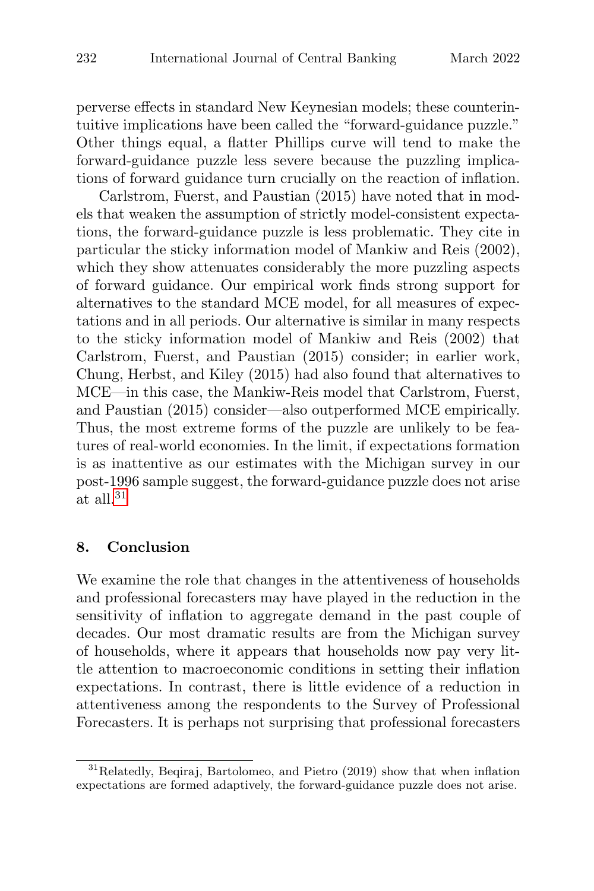perverse effects in standard New Keynesian models; these counterintuitive implications have been called the "forward-guidance puzzle." Other things equal, a flatter Phillips curve will tend to make the forward-guidance puzzle less severe because the puzzling implications of forward guidance turn crucially on the reaction of inflation.

Carlstrom, Fuerst, and Paustian (2015) have noted that in models that weaken the assumption of strictly model-consistent expectations, the forward-guidance puzzle is less problematic. They cite in particular the sticky information model of Mankiw and Reis (2002), which they show attenuates considerably the more puzzling aspects of forward guidance. Our empirical work finds strong support for alternatives to the standard MCE model, for all measures of expectations and in all periods. Our alternative is similar in many respects to the sticky information model of Mankiw and Reis (2002) that Carlstrom, Fuerst, and Paustian (2015) consider; in earlier work, Chung, Herbst, and Kiley (2015) had also found that alternatives to MCE—in this case, the Mankiw-Reis model that Carlstrom, Fuerst, and Paustian (2015) consider—also outperformed MCE empirically. Thus, the most extreme forms of the puzzle are unlikely to be features of real-world economies. In the limit, if expectations formation is as inattentive as our estimates with the Michigan survey in our post-1996 sample suggest, the forward-guidance puzzle does not arise at all.<sup>31</sup>

## **8. Conclusion**

We examine the role that changes in the attentiveness of households and professional forecasters may have played in the reduction in the sensitivity of inflation to aggregate demand in the past couple of decades. Our most dramatic results are from the Michigan survey of households, where it appears that households now pay very little attention to macroeconomic conditions in setting their inflation expectations. In contrast, there is little evidence of a reduction in attentiveness among the respondents to the Survey of Professional Forecasters. It is perhaps not surprising that professional forecasters

 $31$ Relatedly, Beqiraj, Bartolomeo, and Pietro (2019) show that when inflation expectations are formed adaptively, the forward-guidance puzzle does not arise.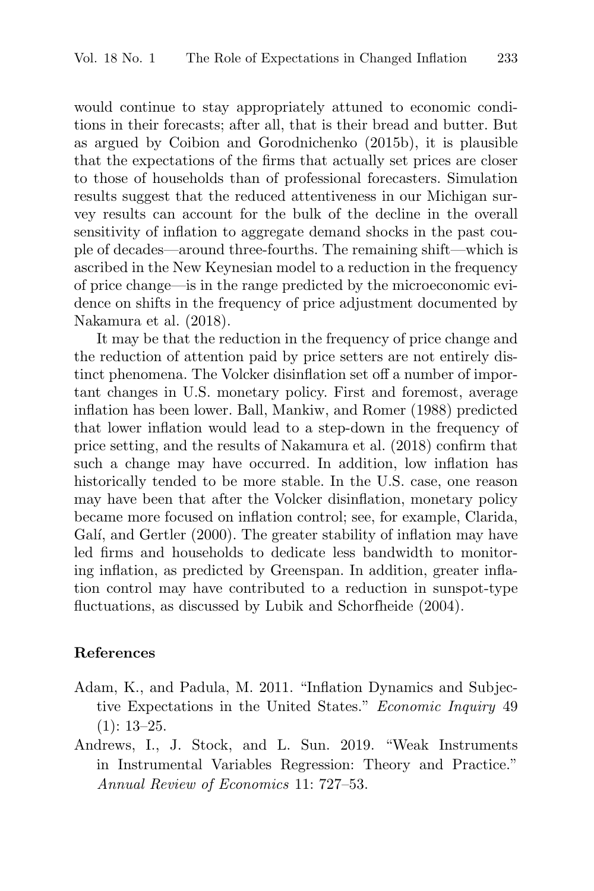would continue to stay appropriately attuned to economic conditions in their forecasts; after all, that is their bread and butter. But as argued by Coibion and Gorodnichenko (2015b), it is plausible that the expectations of the firms that actually set prices are closer to those of households than of professional forecasters. Simulation results suggest that the reduced attentiveness in our Michigan survey results can account for the bulk of the decline in the overall sensitivity of inflation to aggregate demand shocks in the past couple of decades—around three-fourths. The remaining shift—which is ascribed in the New Keynesian model to a reduction in the frequency of price change—is in the range predicted by the microeconomic evidence on shifts in the frequency of price adjustment documented by Nakamura et al. (2018).

It may be that the reduction in the frequency of price change and the reduction of attention paid by price setters are not entirely distinct phenomena. The Volcker disinflation set off a number of important changes in U.S. monetary policy. First and foremost, average inflation has been lower. Ball, Mankiw, and Romer (1988) predicted that lower inflation would lead to a step-down in the frequency of price setting, and the results of Nakamura et al. (2018) confirm that such a change may have occurred. In addition, low inflation has historically tended to be more stable. In the U.S. case, one reason may have been that after the Volcker disinflation, monetary policy became more focused on inflation control; see, for example, Clarida, Galí, and Gertler (2000). The greater stability of inflation may have led firms and households to dedicate less bandwidth to monitoring inflation, as predicted by Greenspan. In addition, greater inflation control may have contributed to a reduction in sunspot-type fluctuations, as discussed by Lubik and Schorfheide (2004).

### **References**

- Adam, K., and Padula, M. 2011. "Inflation Dynamics and Subjective Expectations in the United States." Economic Inquiry 49  $(1): 13-25.$
- Andrews, I., J. Stock, and L. Sun. 2019. "Weak Instruments in Instrumental Variables Regression: Theory and Practice." Annual Review of Economics 11: 727–53.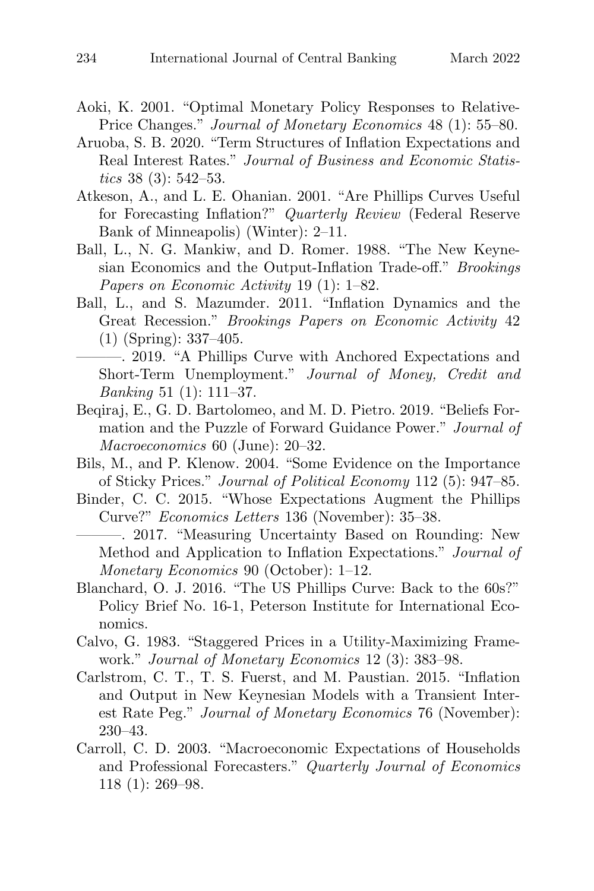- Aoki, K. 2001. "Optimal Monetary Policy Responses to Relative-Price Changes." Journal of Monetary Economics 48 (1): 55–80.
- Aruoba, S. B. 2020. "Term Structures of Inflation Expectations and Real Interest Rates." Journal of Business and Economic Statistics 38 (3): 542–53.
- Atkeson, A., and L. E. Ohanian. 2001. "Are Phillips Curves Useful for Forecasting Inflation?" Quarterly Review (Federal Reserve Bank of Minneapolis) (Winter): 2–11.
- Ball, L., N. G. Mankiw, and D. Romer. 1988. "The New Keynesian Economics and the Output-Inflation Trade-off." Brookings Papers on Economic Activity 19 (1): 1–82.
- Ball, L., and S. Mazumder. 2011. "Inflation Dynamics and the Great Recession." Brookings Papers on Economic Activity 42 (1) (Spring): 337–405.
- ———. 2019. "A Phillips Curve with Anchored Expectations and Short-Term Unemployment." Journal of Money, Credit and Banking 51 (1): 111–37.
- Beqiraj, E., G. D. Bartolomeo, and M. D. Pietro. 2019. "Beliefs Formation and the Puzzle of Forward Guidance Power." Journal of Macroeconomics 60 (June): 20–32.
- Bils, M., and P. Klenow. 2004. "Some Evidence on the Importance of Sticky Prices." Journal of Political Economy 112 (5): 947–85.
- Binder, C. C. 2015. "Whose Expectations Augment the Phillips Curve?" Economics Letters 136 (November): 35–38.
	- ———. 2017. "Measuring Uncertainty Based on Rounding: New Method and Application to Inflation Expectations." Journal of Monetary Economics 90 (October): 1–12.
- Blanchard, O. J. 2016. "The US Phillips Curve: Back to the 60s?" Policy Brief No. 16-1, Peterson Institute for International Economics.
- Calvo, G. 1983. "Staggered Prices in a Utility-Maximizing Framework." Journal of Monetary Economics 12 (3): 383–98.
- Carlstrom, C. T., T. S. Fuerst, and M. Paustian. 2015. "Inflation and Output in New Keynesian Models with a Transient Interest Rate Peg." Journal of Monetary Economics 76 (November): 230–43.
- Carroll, C. D. 2003. "Macroeconomic Expectations of Households and Professional Forecasters." Quarterly Journal of Economics 118 (1): 269–98.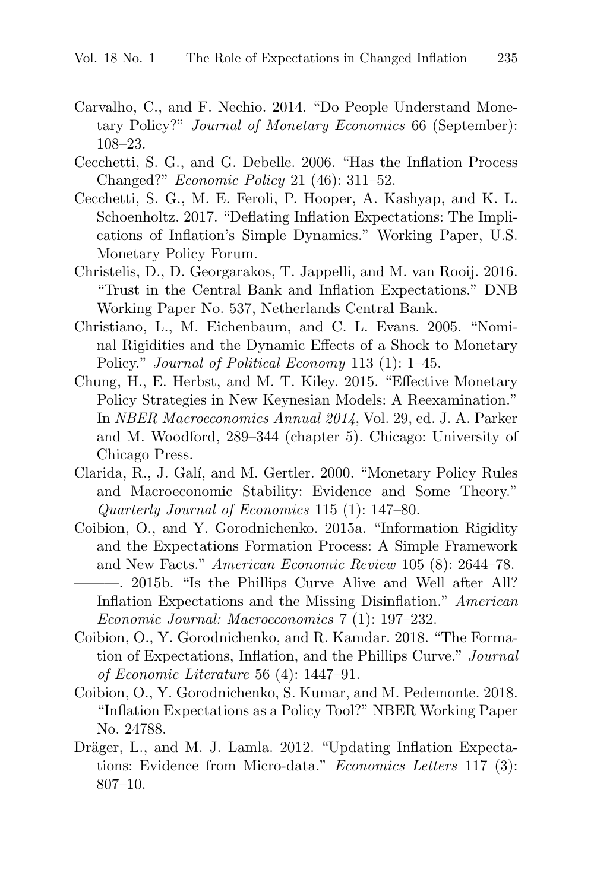- Carvalho, C., and F. Nechio. 2014. "Do People Understand Monetary Policy?" Journal of Monetary Economics 66 (September): 108–23.
- Cecchetti, S. G., and G. Debelle. 2006. "Has the Inflation Process Changed?" Economic Policy 21 (46): 311–52.
- Cecchetti, S. G., M. E. Feroli, P. Hooper, A. Kashyap, and K. L. Schoenholtz. 2017. "Deflating Inflation Expectations: The Implications of Inflation's Simple Dynamics." Working Paper, U.S. Monetary Policy Forum.
- Christelis, D., D. Georgarakos, T. Jappelli, and M. van Rooij. 2016. "Trust in the Central Bank and Inflation Expectations." DNB Working Paper No. 537, Netherlands Central Bank.
- Christiano, L., M. Eichenbaum, and C. L. Evans. 2005. "Nominal Rigidities and the Dynamic Effects of a Shock to Monetary Policy." Journal of Political Economy 113 (1): 1–45.
- Chung, H., E. Herbst, and M. T. Kiley. 2015. "Effective Monetary Policy Strategies in New Keynesian Models: A Reexamination." In NBER Macroeconomics Annual 2014, Vol. 29, ed. J. A. Parker and M. Woodford, 289–344 (chapter 5). Chicago: University of Chicago Press.
- Clarida, R., J. Galí, and M. Gertler. 2000. "Monetary Policy Rules and Macroeconomic Stability: Evidence and Some Theory." Quarterly Journal of Economics 115 (1): 147–80.
- Coibion, O., and Y. Gorodnichenko. 2015a. "Information Rigidity and the Expectations Formation Process: A Simple Framework and New Facts." American Economic Review 105 (8): 2644–78. ———. 2015b. "Is the Phillips Curve Alive and Well after All? Inflation Expectations and the Missing Disinflation." American Economic Journal: Macroeconomics 7 (1): 197–232.
- Coibion, O., Y. Gorodnichenko, and R. Kamdar. 2018. "The Formation of Expectations, Inflation, and the Phillips Curve." Journal of Economic Literature 56 (4): 1447–91.
- Coibion, O., Y. Gorodnichenko, S. Kumar, and M. Pedemonte. 2018. "Inflation Expectations as a Policy Tool?" NBER Working Paper No. 24788.
- Dräger, L., and M. J. Lamla. 2012. "Updating Inflation Expectations: Evidence from Micro-data." Economics Letters 117 (3): 807–10.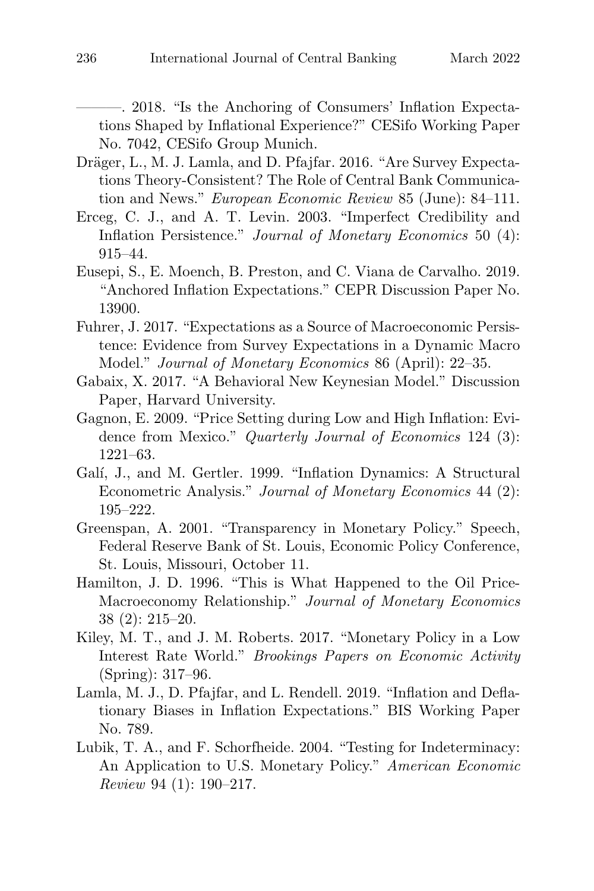———. 2018. "Is the Anchoring of Consumers' Inflation Expectations Shaped by Inflational Experience?" CESifo Working Paper No. 7042, CESifo Group Munich.

- Dräger, L., M. J. Lamla, and D. Pfajfar. 2016. "Are Survey Expectations Theory-Consistent? The Role of Central Bank Communication and News." European Economic Review 85 (June): 84–111.
- Erceg, C. J., and A. T. Levin. 2003. "Imperfect Credibility and Inflation Persistence." Journal of Monetary Economics 50 (4): 915–44.
- Eusepi, S., E. Moench, B. Preston, and C. Viana de Carvalho. 2019. "Anchored Inflation Expectations." CEPR Discussion Paper No. 13900.
- Fuhrer, J. 2017. "Expectations as a Source of Macroeconomic Persistence: Evidence from Survey Expectations in a Dynamic Macro Model." Journal of Monetary Economics 86 (April): 22–35.
- Gabaix, X. 2017. "A Behavioral New Keynesian Model." Discussion Paper, Harvard University.
- Gagnon, E. 2009. "Price Setting during Low and High Inflation: Evidence from Mexico." Quarterly Journal of Economics 124 (3): 1221–63.
- Galí, J., and M. Gertler. 1999. "Inflation Dynamics: A Structural Econometric Analysis." Journal of Monetary Economics 44 (2): 195–222.
- Greenspan, A. 2001. "Transparency in Monetary Policy." Speech, Federal Reserve Bank of St. Louis, Economic Policy Conference, St. Louis, Missouri, October 11.
- Hamilton, J. D. 1996. "This is What Happened to the Oil Price-Macroeconomy Relationship." Journal of Monetary Economics 38 (2): 215–20.
- Kiley, M. T., and J. M. Roberts. 2017. "Monetary Policy in a Low Interest Rate World." Brookings Papers on Economic Activity (Spring): 317–96.
- Lamla, M. J., D. Pfajfar, and L. Rendell. 2019. "Inflation and Deflationary Biases in Inflation Expectations." BIS Working Paper No. 789.
- Lubik, T. A., and F. Schorfheide. 2004. "Testing for Indeterminacy: An Application to U.S. Monetary Policy." American Economic Review 94 (1): 190–217.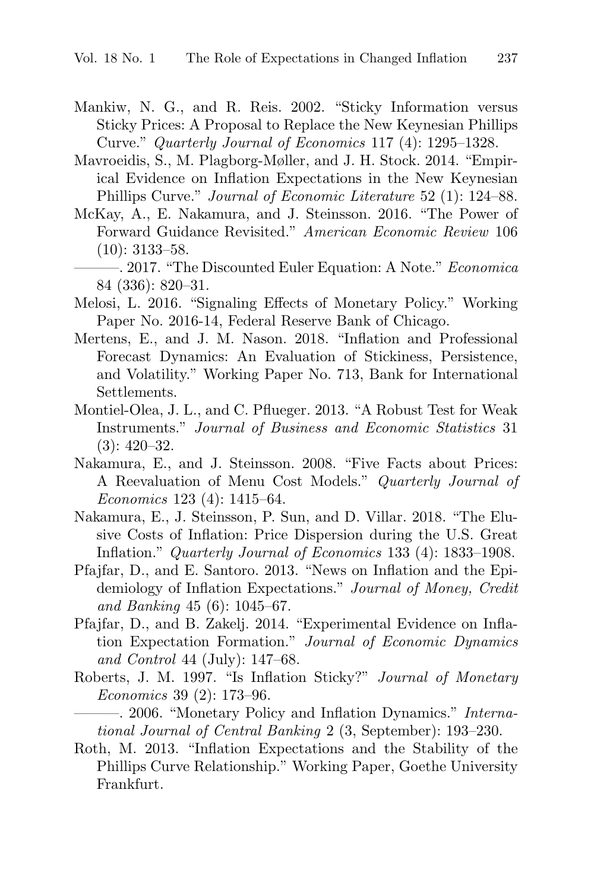- Mankiw, N. G., and R. Reis. 2002. "Sticky Information versus Sticky Prices: A Proposal to Replace the New Keynesian Phillips Curve." Quarterly Journal of Economics 117 (4): 1295–1328.
- Mavroeidis, S., M. Plagborg-Møller, and J. H. Stock. 2014. "Empirical Evidence on Inflation Expectations in the New Keynesian Phillips Curve." Journal of Economic Literature 52 (1): 124–88.
- McKay, A., E. Nakamura, and J. Steinsson. 2016. "The Power of Forward Guidance Revisited." American Economic Review 106 (10): 3133–58.
	- 2017. "The Discounted Euler Equation: A Note." Economica 84 (336): 820–31.
- Melosi, L. 2016. "Signaling Effects of Monetary Policy." Working Paper No. 2016-14, Federal Reserve Bank of Chicago.
- Mertens, E., and J. M. Nason. 2018. "Inflation and Professional Forecast Dynamics: An Evaluation of Stickiness, Persistence, and Volatility." Working Paper No. 713, Bank for International Settlements.
- Montiel-Olea, J. L., and C. Pflueger. 2013. "A Robust Test for Weak Instruments." Journal of Business and Economic Statistics 31 (3): 420–32.
- Nakamura, E., and J. Steinsson. 2008. "Five Facts about Prices: A Reevaluation of Menu Cost Models." Quarterly Journal of Economics 123 (4): 1415–64.
- Nakamura, E., J. Steinsson, P. Sun, and D. Villar. 2018. "The Elusive Costs of Inflation: Price Dispersion during the U.S. Great Inflation." Quarterly Journal of Economics 133 (4): 1833–1908.
- Pfajfar, D., and E. Santoro. 2013. "News on Inflation and the Epidemiology of Inflation Expectations." Journal of Money, Credit and Banking 45 (6): 1045–67.
- Pfajfar, D., and B. Zakelj. 2014. "Experimental Evidence on Inflation Expectation Formation." Journal of Economic Dynamics and Control 44 (July): 147–68.
- Roberts, J. M. 1997. "Is Inflation Sticky?" Journal of Monetary Economics 39 (2): 173–96.
	- ———. 2006. "Monetary Policy and Inflation Dynamics." International Journal of Central Banking 2 (3, September): 193–230.
- Roth, M. 2013. "Inflation Expectations and the Stability of the Phillips Curve Relationship." Working Paper, Goethe University Frankfurt.